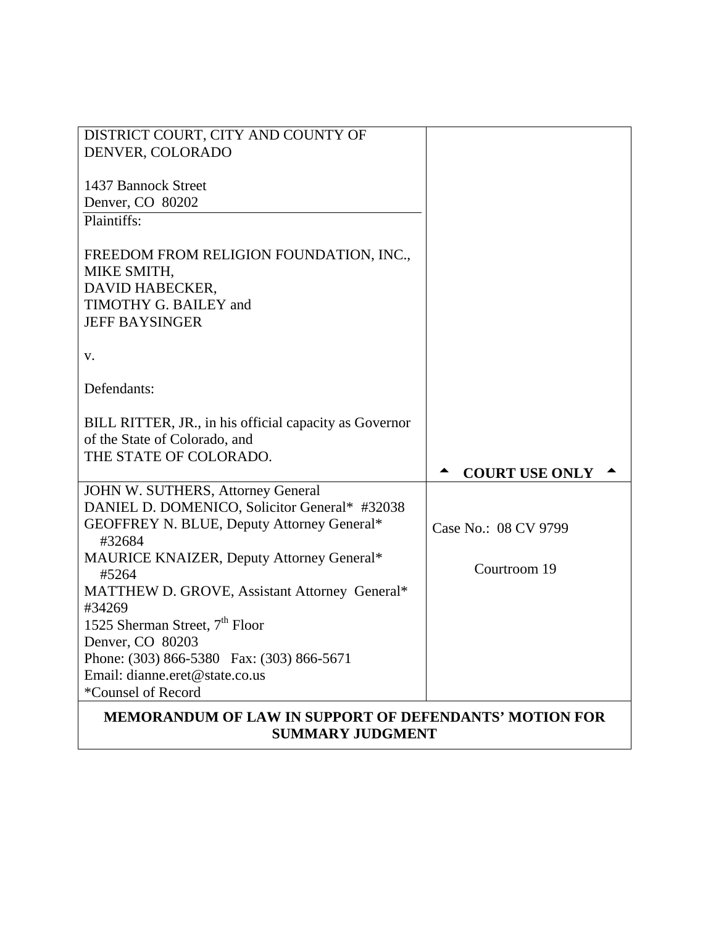| DISTRICT COURT, CITY AND COUNTY OF<br>DENVER, COLORADO                                                                      |                       |
|-----------------------------------------------------------------------------------------------------------------------------|-----------------------|
| 1437 Bannock Street<br>Denver, CO 80202                                                                                     |                       |
| Plaintiffs:                                                                                                                 |                       |
| FREEDOM FROM RELIGION FOUNDATION, INC.,<br>MIKE SMITH,<br>DAVID HABECKER,<br>TIMOTHY G. BAILEY and<br><b>JEFF BAYSINGER</b> |                       |
| V.                                                                                                                          |                       |
| Defendants:                                                                                                                 |                       |
| BILL RITTER, JR., in his official capacity as Governor<br>of the State of Colorado, and                                     |                       |
| THE STATE OF COLORADO.                                                                                                      |                       |
|                                                                                                                             |                       |
|                                                                                                                             | <b>COURT USE ONLY</b> |
| JOHN W. SUTHERS, Attorney General                                                                                           |                       |
| DANIEL D. DOMENICO, Solicitor General* #32038                                                                               |                       |
| GEOFFREY N. BLUE, Deputy Attorney General*<br>#32684                                                                        | Case No.: 08 CV 9799  |
| MAURICE KNAIZER, Deputy Attorney General*<br>#5264                                                                          | Courtroom 19          |
| MATTHEW D. GROVE, Assistant Attorney General*                                                                               |                       |
| #34269                                                                                                                      |                       |
| 1525 Sherman Street, 7 <sup>th</sup> Floor                                                                                  |                       |
| Denver, CO 80203                                                                                                            |                       |
| Phone: (303) 866-5380 Fax: (303) 866-5671                                                                                   |                       |
| Email: dianne.eret@state.co.us                                                                                              |                       |
| *Counsel of Record<br><b>MEMORANDUM OF LAW IN SUPPORT OF DEFENDANTS' MOTION FOR</b>                                         |                       |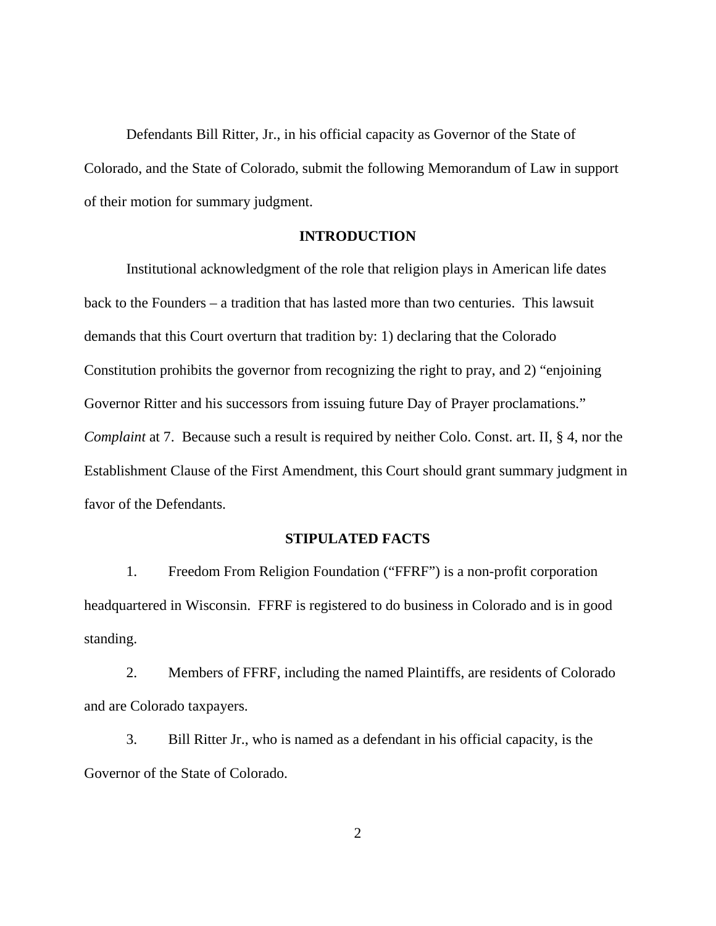Defendants Bill Ritter, Jr., in his official capacity as Governor of the State of Colorado, and the State of Colorado, submit the following Memorandum of Law in support of their motion for summary judgment.

#### **INTRODUCTION**

Institutional acknowledgment of the role that religion plays in American life dates back to the Founders – a tradition that has lasted more than two centuries. This lawsuit demands that this Court overturn that tradition by: 1) declaring that the Colorado Constitution prohibits the governor from recognizing the right to pray, and 2) "enjoining Governor Ritter and his successors from issuing future Day of Prayer proclamations." *Complaint* at 7. Because such a result is required by neither Colo. Const. art. II, § 4, nor the Establishment Clause of the First Amendment, this Court should grant summary judgment in favor of the Defendants.

## **STIPULATED FACTS**

1. Freedom From Religion Foundation ("FFRF") is a non-profit corporation headquartered in Wisconsin. FFRF is registered to do business in Colorado and is in good standing.

2. Members of FFRF, including the named Plaintiffs, are residents of Colorado and are Colorado taxpayers.

3. Bill Ritter Jr., who is named as a defendant in his official capacity, is the Governor of the State of Colorado.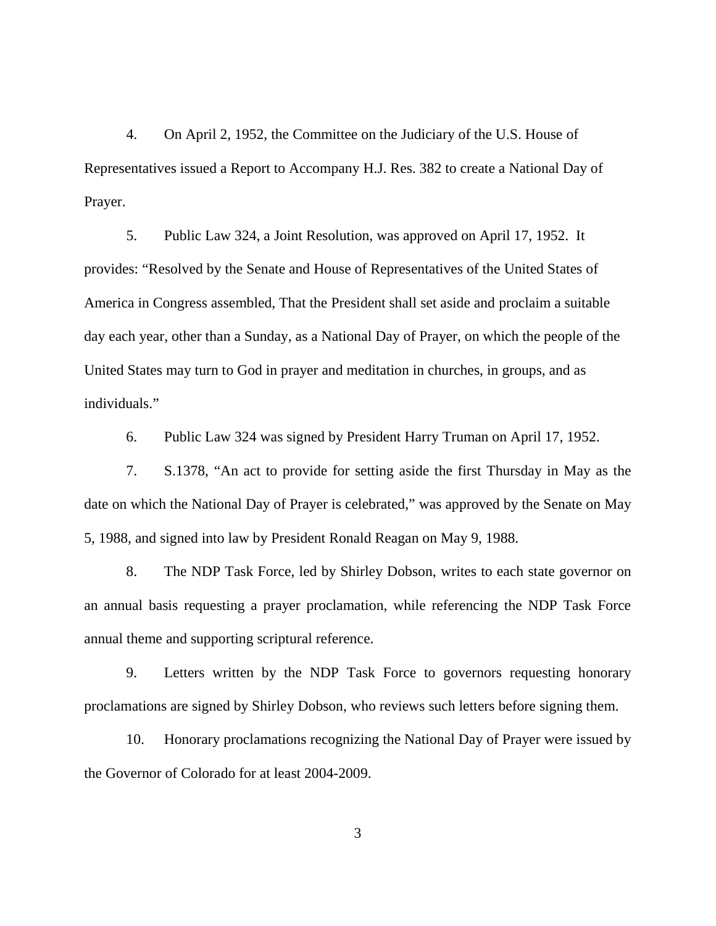4. On April 2, 1952, the Committee on the Judiciary of the U.S. House of Representatives issued a Report to Accompany H.J. Res. 382 to create a National Day of Prayer.

5. Public Law 324, a Joint Resolution, was approved on April 17, 1952. It provides: "Resolved by the Senate and House of Representatives of the United States of America in Congress assembled, That the President shall set aside and proclaim a suitable day each year, other than a Sunday, as a National Day of Prayer, on which the people of the United States may turn to God in prayer and meditation in churches, in groups, and as individuals."

6. Public Law 324 was signed by President Harry Truman on April 17, 1952.

7. S.1378, "An act to provide for setting aside the first Thursday in May as the date on which the National Day of Prayer is celebrated," was approved by the Senate on May 5, 1988, and signed into law by President Ronald Reagan on May 9, 1988.

8. The NDP Task Force, led by Shirley Dobson, writes to each state governor on an annual basis requesting a prayer proclamation, while referencing the NDP Task Force annual theme and supporting scriptural reference.

9. Letters written by the NDP Task Force to governors requesting honorary proclamations are signed by Shirley Dobson, who reviews such letters before signing them.

10. Honorary proclamations recognizing the National Day of Prayer were issued by the Governor of Colorado for at least 2004-2009.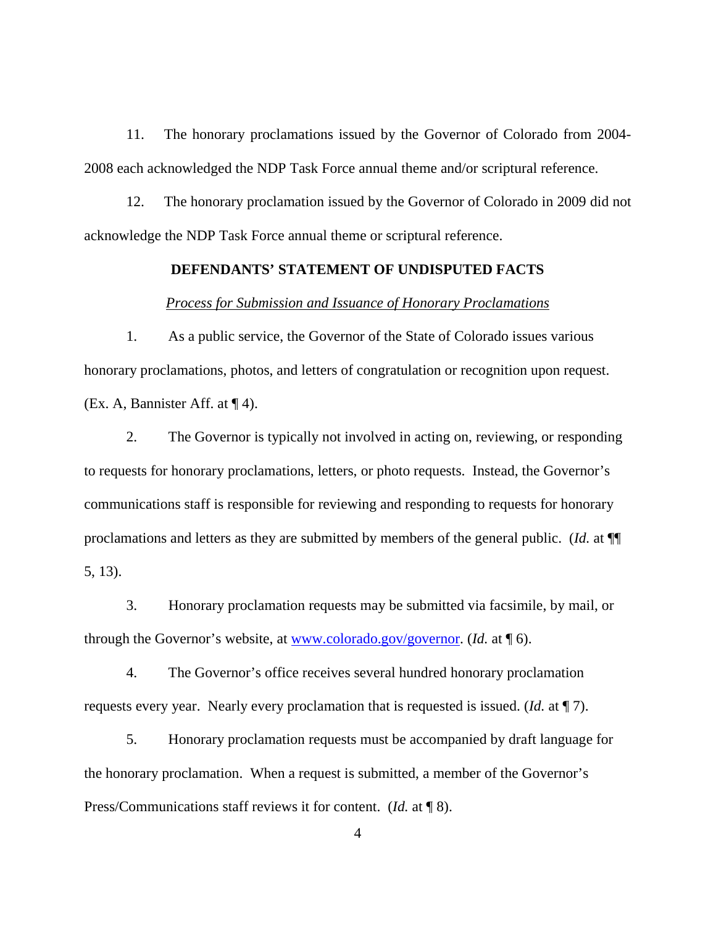11. The honorary proclamations issued by the Governor of Colorado from 2004- 2008 each acknowledged the NDP Task Force annual theme and/or scriptural reference.

12. The honorary proclamation issued by the Governor of Colorado in 2009 did not acknowledge the NDP Task Force annual theme or scriptural reference.

# **DEFENDANTS' STATEMENT OF UNDISPUTED FACTS**

#### *Process for Submission and Issuance of Honorary Proclamations*

1. As a public service, the Governor of the State of Colorado issues various honorary proclamations, photos, and letters of congratulation or recognition upon request. (Ex. A, Bannister Aff. at  $\P$  4).

2. The Governor is typically not involved in acting on, reviewing, or responding to requests for honorary proclamations, letters, or photo requests. Instead, the Governor's communications staff is responsible for reviewing and responding to requests for honorary proclamations and letters as they are submitted by members of the general public. (*Id.* at ¶¶ 5, 13).

3. Honorary proclamation requests may be submitted via facsimile, by mail, or through the Governor's website, at [www.colorado.gov/governor.](http://www.colorado.gov/governor) (*Id.* at ¶ 6).

4. The Governor's office receives several hundred honorary proclamation requests every year. Nearly every proclamation that is requested is issued. (*Id.* at ¶ 7).

5. Honorary proclamation requests must be accompanied by draft language for the honorary proclamation. When a request is submitted, a member of the Governor's Press/Communications staff reviews it for content. (*Id.* at ¶ 8).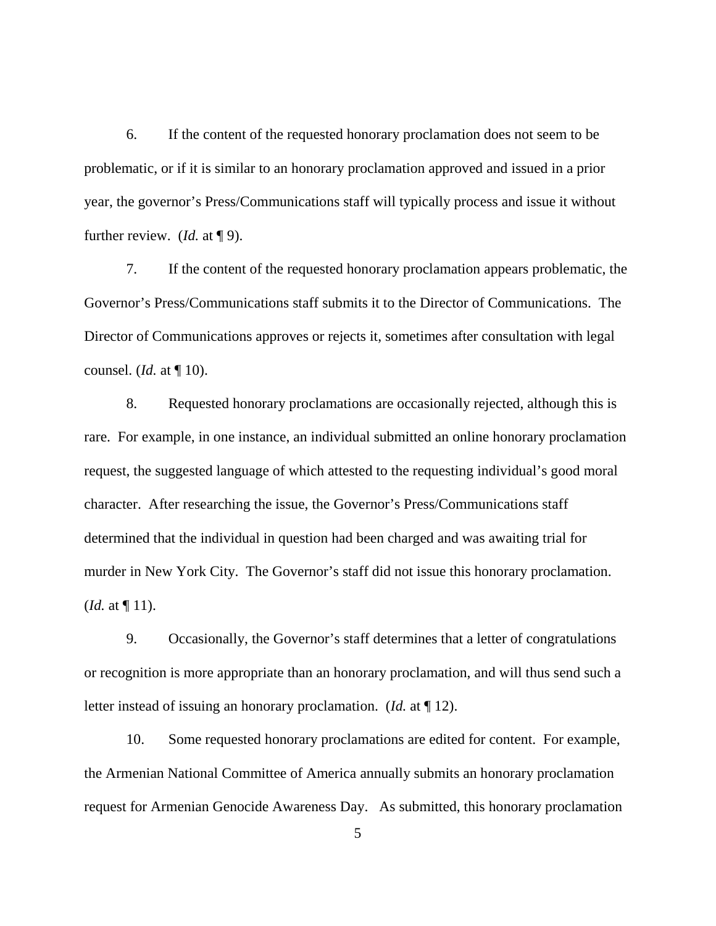6. If the content of the requested honorary proclamation does not seem to be problematic, or if it is similar to an honorary proclamation approved and issued in a prior year, the governor's Press/Communications staff will typically process and issue it without further review. (*Id.* at ¶ 9).

7. If the content of the requested honorary proclamation appears problematic, the Governor's Press/Communications staff submits it to the Director of Communications. The Director of Communications approves or rejects it, sometimes after consultation with legal counsel. (*Id.* at ¶ 10).

8. Requested honorary proclamations are occasionally rejected, although this is rare. For example, in one instance, an individual submitted an online honorary proclamation request, the suggested language of which attested to the requesting individual's good moral character. After researching the issue, the Governor's Press/Communications staff determined that the individual in question had been charged and was awaiting trial for murder in New York City. The Governor's staff did not issue this honorary proclamation. (*Id.* at  $\P$  11).

9. Occasionally, the Governor's staff determines that a letter of congratulations or recognition is more appropriate than an honorary proclamation, and will thus send such a letter instead of issuing an honorary proclamation. (*Id.* at ¶ 12).

10. Some requested honorary proclamations are edited for content. For example, the Armenian National Committee of America annually submits an honorary proclamation request for Armenian Genocide Awareness Day. As submitted, this honorary proclamation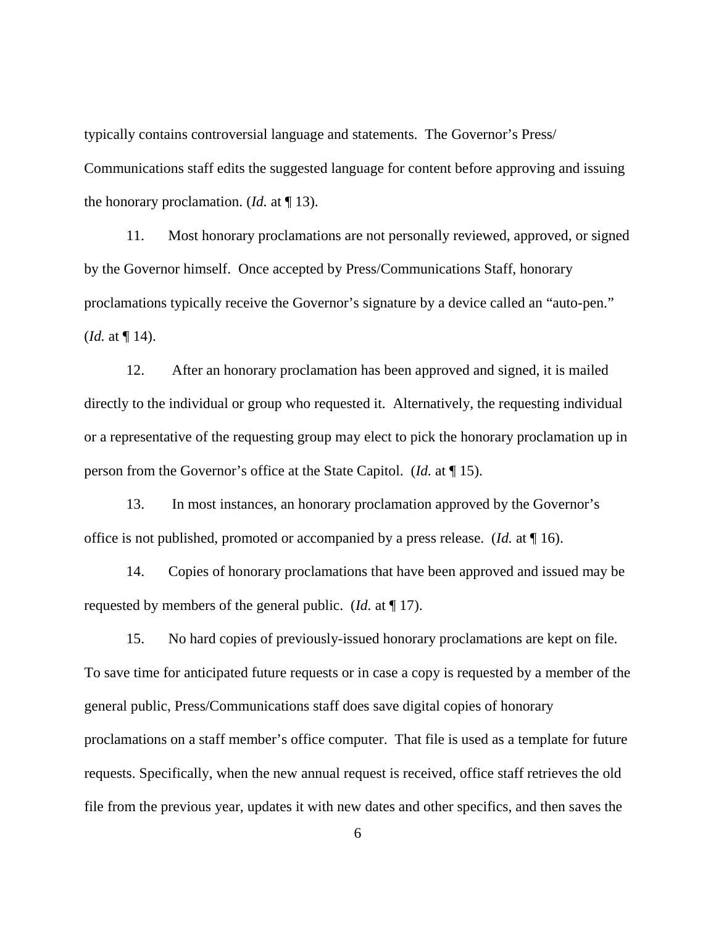typically contains controversial language and statements. The Governor's Press/ Communications staff edits the suggested language for content before approving and issuing the honorary proclamation. (*Id.* at ¶ 13).

11. Most honorary proclamations are not personally reviewed, approved, or signed by the Governor himself. Once accepted by Press/Communications Staff, honorary proclamations typically receive the Governor's signature by a device called an "auto-pen." (*Id.* at ¶ 14).

12. After an honorary proclamation has been approved and signed, it is mailed directly to the individual or group who requested it. Alternatively, the requesting individual or a representative of the requesting group may elect to pick the honorary proclamation up in person from the Governor's office at the State Capitol. (*Id.* at ¶ 15).

13. In most instances, an honorary proclamation approved by the Governor's office is not published, promoted or accompanied by a press release. (*Id.* at ¶ 16).

14. Copies of honorary proclamations that have been approved and issued may be requested by members of the general public. (*Id.* at ¶ 17).

15. No hard copies of previously-issued honorary proclamations are kept on file. To save time for anticipated future requests or in case a copy is requested by a member of the general public, Press/Communications staff does save digital copies of honorary proclamations on a staff member's office computer. That file is used as a template for future requests. Specifically, when the new annual request is received, office staff retrieves the old file from the previous year, updates it with new dates and other specifics, and then saves the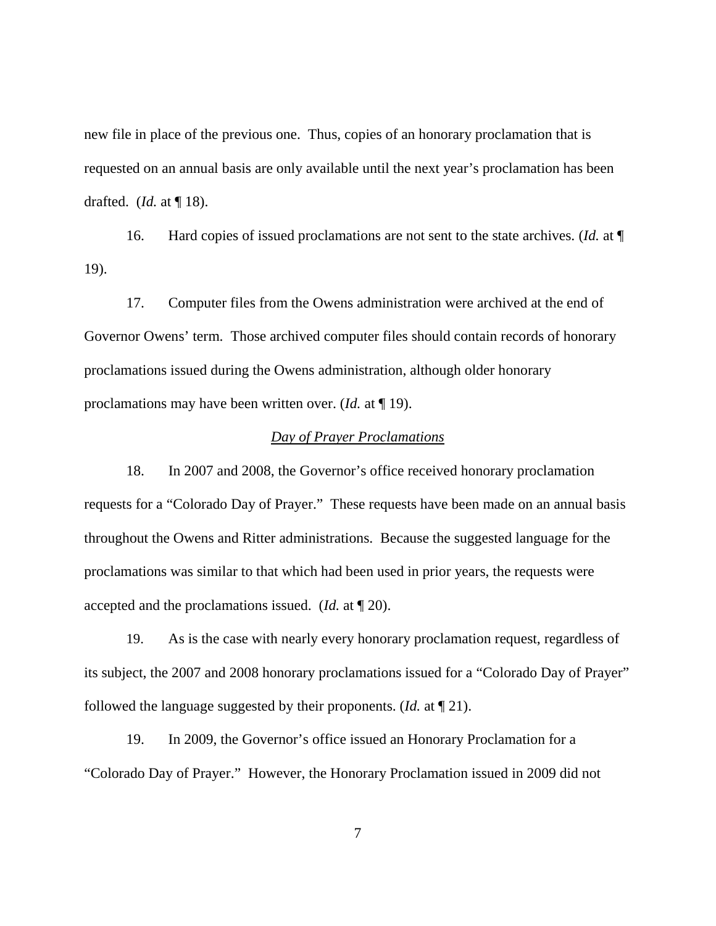new file in place of the previous one. Thus, copies of an honorary proclamation that is requested on an annual basis are only available until the next year's proclamation has been drafted. (*Id.* at ¶ 18).

16. Hard copies of issued proclamations are not sent to the state archives. (*Id.* at ¶ 19).

17. Computer files from the Owens administration were archived at the end of Governor Owens' term. Those archived computer files should contain records of honorary proclamations issued during the Owens administration, although older honorary proclamations may have been written over. (*Id.* at ¶ 19).

### *Day of Prayer Proclamations*

18. In 2007 and 2008, the Governor's office received honorary proclamation requests for a "Colorado Day of Prayer." These requests have been made on an annual basis throughout the Owens and Ritter administrations. Because the suggested language for the proclamations was similar to that which had been used in prior years, the requests were accepted and the proclamations issued. (*Id.* at ¶ 20).

19. As is the case with nearly every honorary proclamation request, regardless of its subject, the 2007 and 2008 honorary proclamations issued for a "Colorado Day of Prayer" followed the language suggested by their proponents. (*Id.* at ¶ 21).

19. In 2009, the Governor's office issued an Honorary Proclamation for a "Colorado Day of Prayer." However, the Honorary Proclamation issued in 2009 did not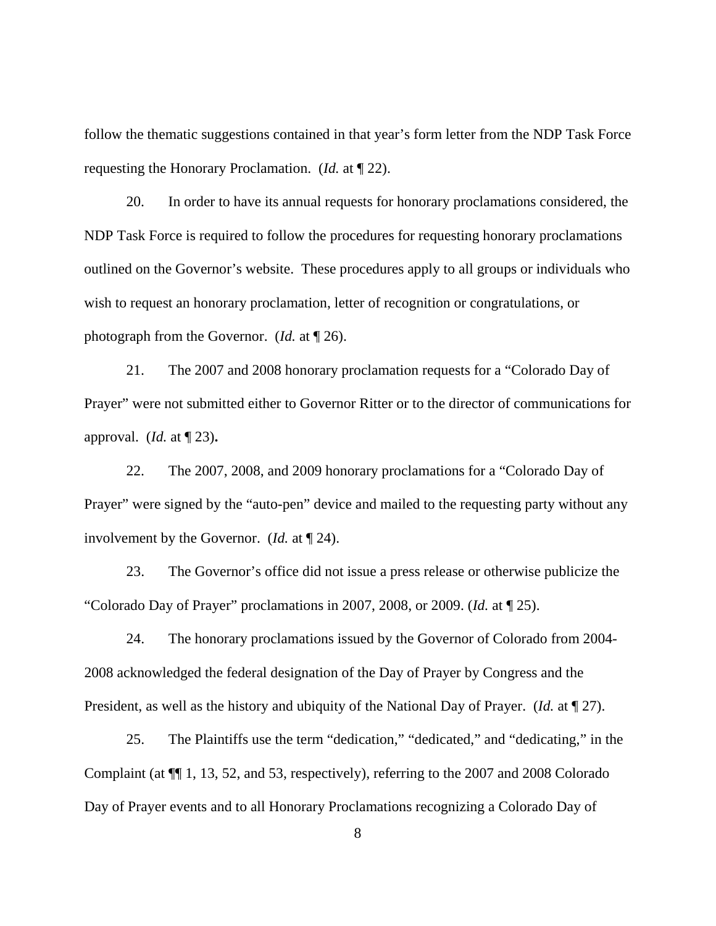follow the thematic suggestions contained in that year's form letter from the NDP Task Force requesting the Honorary Proclamation. (*Id.* at ¶ 22).

20. In order to have its annual requests for honorary proclamations considered, the NDP Task Force is required to follow the procedures for requesting honorary proclamations outlined on the Governor's website. These procedures apply to all groups or individuals who wish to request an honorary proclamation, letter of recognition or congratulations, or photograph from the Governor. (*Id.* at ¶ 26).

21. The 2007 and 2008 honorary proclamation requests for a "Colorado Day of Prayer" were not submitted either to Governor Ritter or to the director of communications for approval. (*Id.* at ¶ 23)**.**

22. The 2007, 2008, and 2009 honorary proclamations for a "Colorado Day of Prayer" were signed by the "auto-pen" device and mailed to the requesting party without any involvement by the Governor. (*Id.* at ¶ 24).

23. The Governor's office did not issue a press release or otherwise publicize the "Colorado Day of Prayer" proclamations in 2007, 2008, or 2009. (*Id.* at ¶ 25).

24. The honorary proclamations issued by the Governor of Colorado from 2004- 2008 acknowledged the federal designation of the Day of Prayer by Congress and the President, as well as the history and ubiquity of the National Day of Prayer. (*Id.* at ¶ 27).

25. The Plaintiffs use the term "dedication," "dedicated," and "dedicating," in the Complaint (at ¶¶ 1, 13, 52, and 53, respectively), referring to the 2007 and 2008 Colorado Day of Prayer events and to all Honorary Proclamations recognizing a Colorado Day of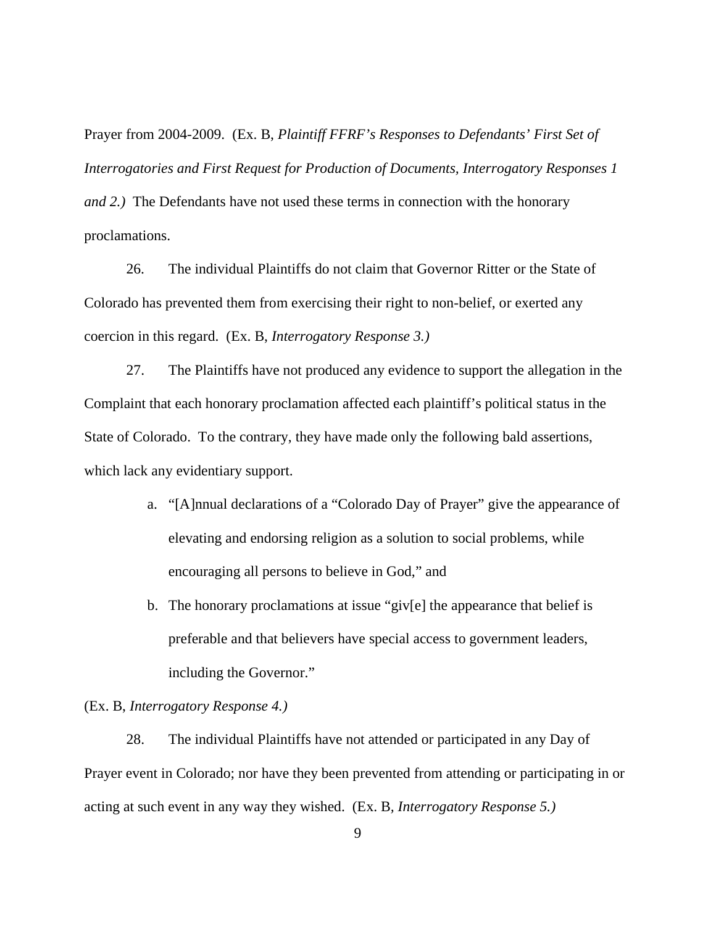Prayer from 2004-2009. (Ex. B, *Plaintiff FFRF's Responses to Defendants' First Set of Interrogatories and First Request for Production of Documents, Interrogatory Responses 1 and 2.)* The Defendants have not used these terms in connection with the honorary proclamations.

26. The individual Plaintiffs do not claim that Governor Ritter or the State of Colorado has prevented them from exercising their right to non-belief, or exerted any coercion in this regard. (Ex. B, *Interrogatory Response 3.)*

27. The Plaintiffs have not produced any evidence to support the allegation in the Complaint that each honorary proclamation affected each plaintiff's political status in the State of Colorado. To the contrary, they have made only the following bald assertions, which lack any evidentiary support.

- a. "[A]nnual declarations of a "Colorado Day of Prayer" give the appearance of elevating and endorsing religion as a solution to social problems, while encouraging all persons to believe in God," and
- b. The honorary proclamations at issue "giv[e] the appearance that belief is preferable and that believers have special access to government leaders, including the Governor."

## (Ex. B, *Interrogatory Response 4.)*

28. The individual Plaintiffs have not attended or participated in any Day of Prayer event in Colorado; nor have they been prevented from attending or participating in or acting at such event in any way they wished. (Ex. B*, Interrogatory Response 5.)*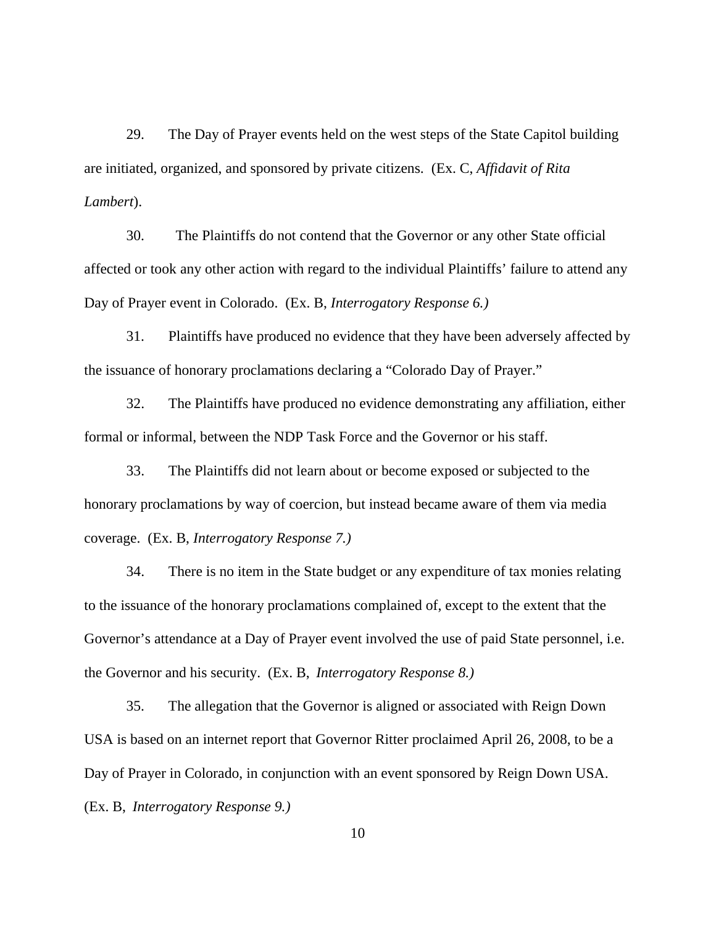29. The Day of Prayer events held on the west steps of the State Capitol building are initiated, organized, and sponsored by private citizens. (Ex. C, *Affidavit of Rita Lambert*).

30. The Plaintiffs do not contend that the Governor or any other State official affected or took any other action with regard to the individual Plaintiffs' failure to attend any Day of Prayer event in Colorado. (Ex. B, *Interrogatory Response 6.)*

31. Plaintiffs have produced no evidence that they have been adversely affected by the issuance of honorary proclamations declaring a "Colorado Day of Prayer."

32. The Plaintiffs have produced no evidence demonstrating any affiliation, either formal or informal, between the NDP Task Force and the Governor or his staff.

33. The Plaintiffs did not learn about or become exposed or subjected to the honorary proclamations by way of coercion, but instead became aware of them via media coverage. (Ex. B, *Interrogatory Response 7.)*

34. There is no item in the State budget or any expenditure of tax monies relating to the issuance of the honorary proclamations complained of, except to the extent that the Governor's attendance at a Day of Prayer event involved the use of paid State personnel, i.e. the Governor and his security. (Ex. B, *Interrogatory Response 8.)*

35. The allegation that the Governor is aligned or associated with Reign Down USA is based on an internet report that Governor Ritter proclaimed April 26, 2008, to be a Day of Prayer in Colorado, in conjunction with an event sponsored by Reign Down USA. (Ex. B, *Interrogatory Response 9.)*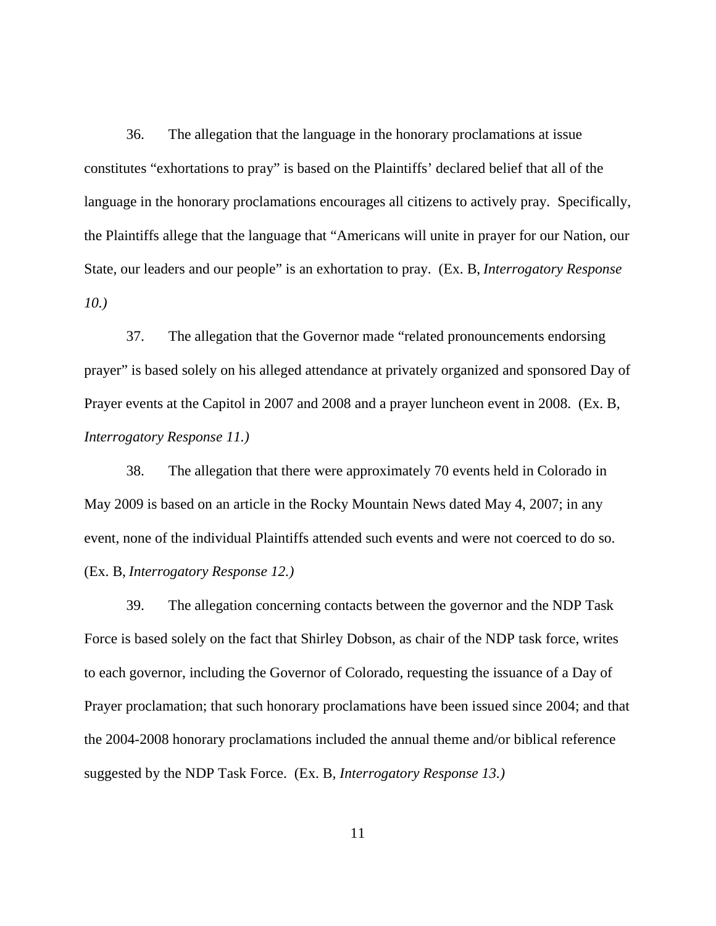36. The allegation that the language in the honorary proclamations at issue constitutes "exhortations to pray" is based on the Plaintiffs' declared belief that all of the language in the honorary proclamations encourages all citizens to actively pray. Specifically, the Plaintiffs allege that the language that "Americans will unite in prayer for our Nation, our State, our leaders and our people" is an exhortation to pray. (Ex. B, *Interrogatory Response 10.)*

37. The allegation that the Governor made "related pronouncements endorsing prayer" is based solely on his alleged attendance at privately organized and sponsored Day of Prayer events at the Capitol in 2007 and 2008 and a prayer luncheon event in 2008. (Ex. B, *Interrogatory Response 11.)*

38. The allegation that there were approximately 70 events held in Colorado in May 2009 is based on an article in the Rocky Mountain News dated May 4, 2007; in any event, none of the individual Plaintiffs attended such events and were not coerced to do so. (Ex. B, *Interrogatory Response 12.)*

39. The allegation concerning contacts between the governor and the NDP Task Force is based solely on the fact that Shirley Dobson, as chair of the NDP task force, writes to each governor, including the Governor of Colorado, requesting the issuance of a Day of Prayer proclamation; that such honorary proclamations have been issued since 2004; and that the 2004-2008 honorary proclamations included the annual theme and/or biblical reference suggested by the NDP Task Force. (Ex. B*, Interrogatory Response 13.)*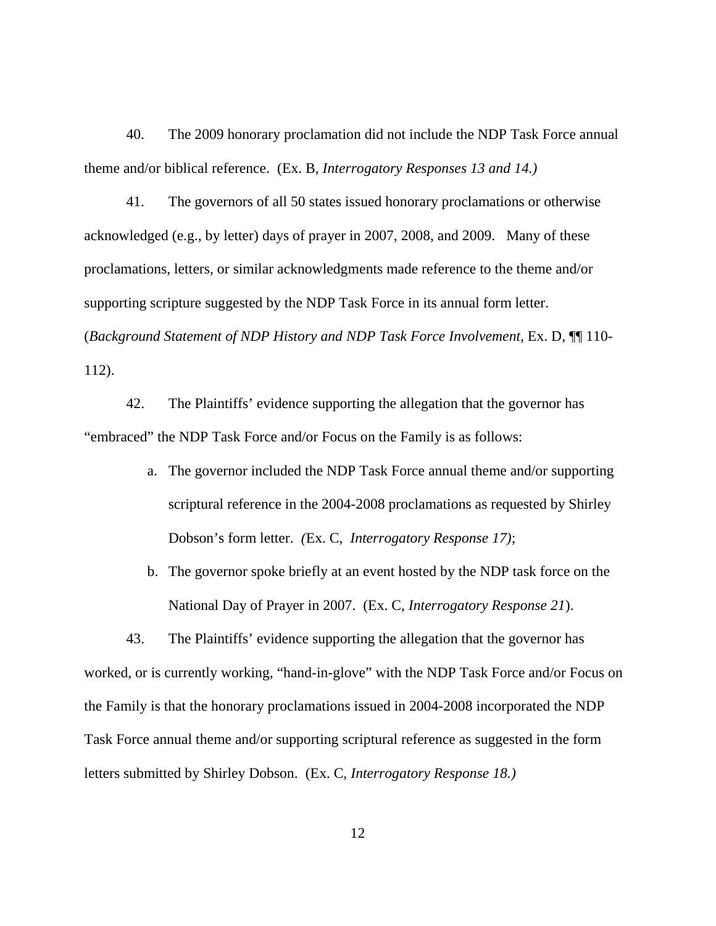40. The 2009 honorary proclamation did not include the NDP Task Force annual theme and/or biblical reference. (Ex. B*, Interrogatory Responses 13 and 14.)*

41. The governors of all 50 states issued honorary proclamations or otherwise acknowledged (e.g., by letter) days of prayer in 2007, 2008, and 2009. Many of these proclamations, letters, or similar acknowledgments made reference to the theme and/or supporting scripture suggested by the NDP Task Force in its annual form letter. (*Background Statement of NDP History and NDP Task Force Involvement,* Ex. D, ¶¶ 110- 112).

42. The Plaintiffs' evidence supporting the allegation that the governor has "embraced" the NDP Task Force and/or Focus on the Family is as follows:

- a. The governor included the NDP Task Force annual theme and/or supporting scriptural reference in the 2004-2008 proclamations as requested by Shirley Dobson's form letter. *(*Ex. C, *Interrogatory Response 17)*;
- b. The governor spoke briefly at an event hosted by the NDP task force on the National Day of Prayer in 2007. (Ex. C, *Interrogatory Response 21*).

43. The Plaintiffs' evidence supporting the allegation that the governor has worked, or is currently working, "hand-in-glove" with the NDP Task Force and/or Focus on the Family is that the honorary proclamations issued in 2004-2008 incorporated the NDP Task Force annual theme and/or supporting scriptural reference as suggested in the form letters submitted by Shirley Dobson. (Ex. C*, Interrogatory Response 18.)*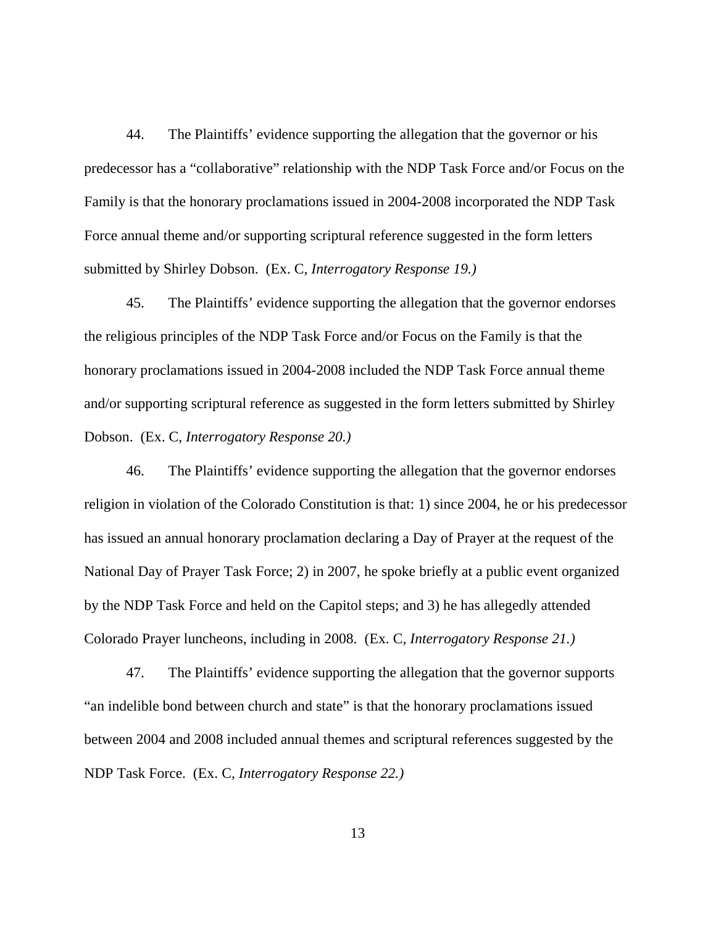44. The Plaintiffs' evidence supporting the allegation that the governor or his predecessor has a "collaborative" relationship with the NDP Task Force and/or Focus on the Family is that the honorary proclamations issued in 2004-2008 incorporated the NDP Task Force annual theme and/or supporting scriptural reference suggested in the form letters submitted by Shirley Dobson. (Ex. C*, Interrogatory Response 19.)*

45. The Plaintiffs' evidence supporting the allegation that the governor endorses the religious principles of the NDP Task Force and/or Focus on the Family is that the honorary proclamations issued in 2004-2008 included the NDP Task Force annual theme and/or supporting scriptural reference as suggested in the form letters submitted by Shirley Dobson. (Ex. C*, Interrogatory Response 20.)*

46. The Plaintiffs' evidence supporting the allegation that the governor endorses religion in violation of the Colorado Constitution is that: 1) since 2004, he or his predecessor has issued an annual honorary proclamation declaring a Day of Prayer at the request of the National Day of Prayer Task Force; 2) in 2007, he spoke briefly at a public event organized by the NDP Task Force and held on the Capitol steps; and 3) he has allegedly attended Colorado Prayer luncheons, including in 2008. (Ex. C*, Interrogatory Response 21.)*

47. The Plaintiffs' evidence supporting the allegation that the governor supports "an indelible bond between church and state" is that the honorary proclamations issued between 2004 and 2008 included annual themes and scriptural references suggested by the NDP Task Force. (Ex. C*, Interrogatory Response 22.)*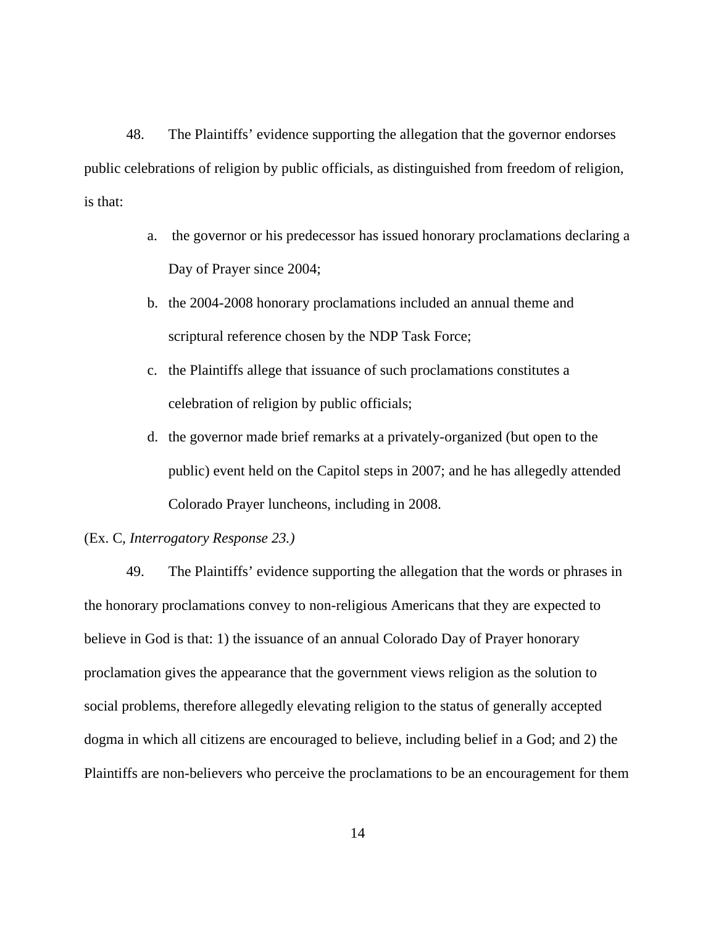48. The Plaintiffs' evidence supporting the allegation that the governor endorses public celebrations of religion by public officials, as distinguished from freedom of religion, is that:

- a. the governor or his predecessor has issued honorary proclamations declaring a Day of Prayer since 2004;
- b. the 2004-2008 honorary proclamations included an annual theme and scriptural reference chosen by the NDP Task Force;
- c. the Plaintiffs allege that issuance of such proclamations constitutes a celebration of religion by public officials;
- d. the governor made brief remarks at a privately-organized (but open to the public) event held on the Capitol steps in 2007; and he has allegedly attended Colorado Prayer luncheons, including in 2008.

### (Ex. C*, Interrogatory Response 23.)*

49. The Plaintiffs' evidence supporting the allegation that the words or phrases in the honorary proclamations convey to non-religious Americans that they are expected to believe in God is that: 1) the issuance of an annual Colorado Day of Prayer honorary proclamation gives the appearance that the government views religion as the solution to social problems, therefore allegedly elevating religion to the status of generally accepted dogma in which all citizens are encouraged to believe, including belief in a God; and 2) the Plaintiffs are non-believers who perceive the proclamations to be an encouragement for them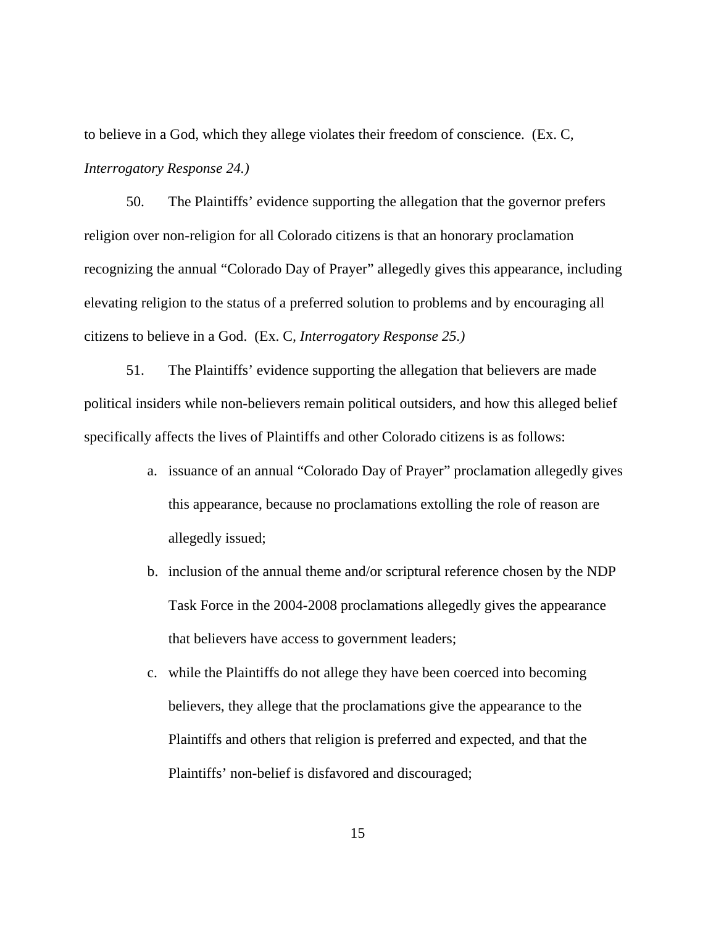to believe in a God, which they allege violates their freedom of conscience. (Ex. C*, Interrogatory Response 24.)*

50. The Plaintiffs' evidence supporting the allegation that the governor prefers religion over non-religion for all Colorado citizens is that an honorary proclamation recognizing the annual "Colorado Day of Prayer" allegedly gives this appearance, including elevating religion to the status of a preferred solution to problems and by encouraging all citizens to believe in a God. (Ex. C*, Interrogatory Response 25.)*

51. The Plaintiffs' evidence supporting the allegation that believers are made political insiders while non-believers remain political outsiders, and how this alleged belief specifically affects the lives of Plaintiffs and other Colorado citizens is as follows:

- a. issuance of an annual "Colorado Day of Prayer" proclamation allegedly gives this appearance, because no proclamations extolling the role of reason are allegedly issued;
- b. inclusion of the annual theme and/or scriptural reference chosen by the NDP Task Force in the 2004-2008 proclamations allegedly gives the appearance that believers have access to government leaders;
- c. while the Plaintiffs do not allege they have been coerced into becoming believers, they allege that the proclamations give the appearance to the Plaintiffs and others that religion is preferred and expected, and that the Plaintiffs' non-belief is disfavored and discouraged;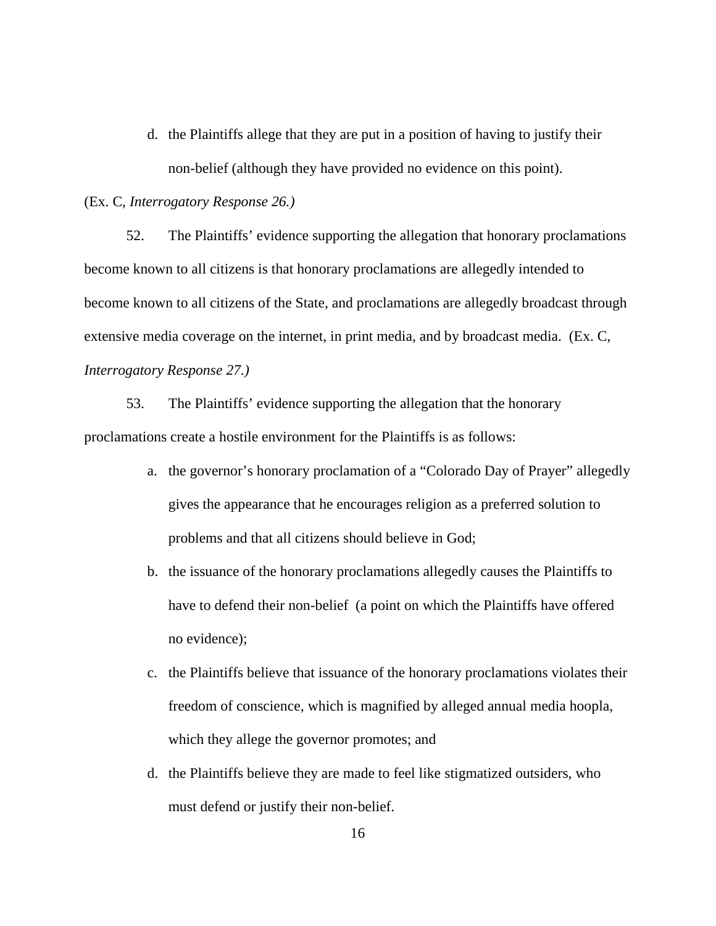d. the Plaintiffs allege that they are put in a position of having to justify their non-belief (although they have provided no evidence on this point).

### (Ex. C*, Interrogatory Response 26.)*

52. The Plaintiffs' evidence supporting the allegation that honorary proclamations become known to all citizens is that honorary proclamations are allegedly intended to become known to all citizens of the State, and proclamations are allegedly broadcast through extensive media coverage on the internet, in print media, and by broadcast media. (Ex. C, *Interrogatory Response 27.)*

53. The Plaintiffs' evidence supporting the allegation that the honorary proclamations create a hostile environment for the Plaintiffs is as follows:

- a. the governor's honorary proclamation of a "Colorado Day of Prayer" allegedly gives the appearance that he encourages religion as a preferred solution to problems and that all citizens should believe in God;
- b. the issuance of the honorary proclamations allegedly causes the Plaintiffs to have to defend their non-belief (a point on which the Plaintiffs have offered no evidence);
- c. the Plaintiffs believe that issuance of the honorary proclamations violates their freedom of conscience, which is magnified by alleged annual media hoopla, which they allege the governor promotes; and
- d. the Plaintiffs believe they are made to feel like stigmatized outsiders, who must defend or justify their non-belief.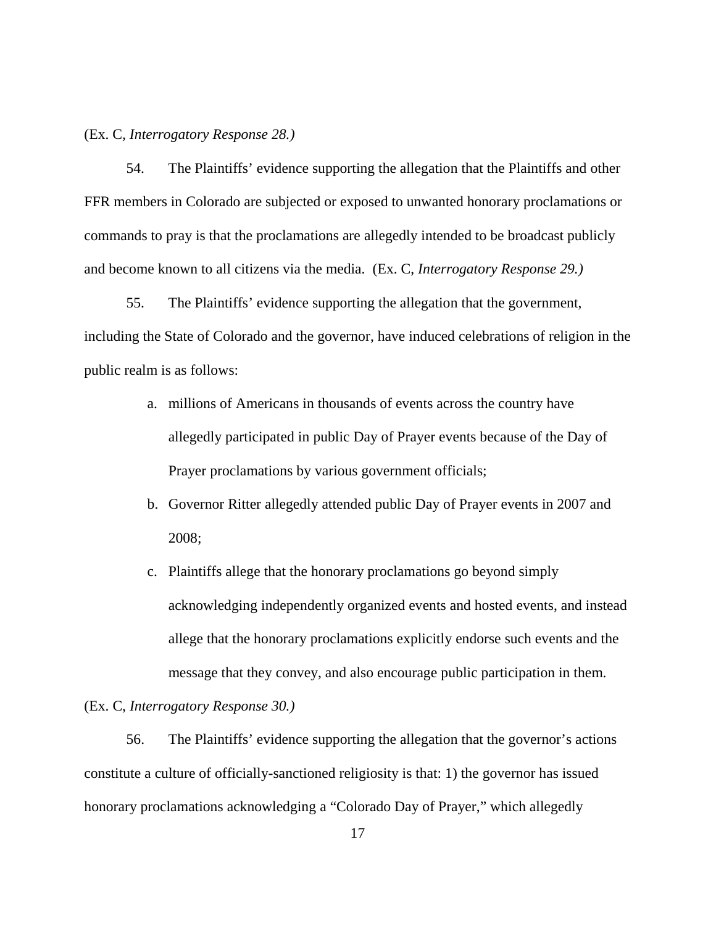(Ex. C*, Interrogatory Response 28.)*

54. The Plaintiffs' evidence supporting the allegation that the Plaintiffs and other FFR members in Colorado are subjected or exposed to unwanted honorary proclamations or commands to pray is that the proclamations are allegedly intended to be broadcast publicly and become known to all citizens via the media. (Ex. C, *Interrogatory Response 29.)*

55. The Plaintiffs' evidence supporting the allegation that the government, including the State of Colorado and the governor, have induced celebrations of religion in the public realm is as follows:

- a. millions of Americans in thousands of events across the country have allegedly participated in public Day of Prayer events because of the Day of Prayer proclamations by various government officials;
- b. Governor Ritter allegedly attended public Day of Prayer events in 2007 and 2008;
- c. Plaintiffs allege that the honorary proclamations go beyond simply acknowledging independently organized events and hosted events, and instead allege that the honorary proclamations explicitly endorse such events and the message that they convey, and also encourage public participation in them.

(Ex. C, *Interrogatory Response 30.)*

56. The Plaintiffs' evidence supporting the allegation that the governor's actions constitute a culture of officially-sanctioned religiosity is that: 1) the governor has issued honorary proclamations acknowledging a "Colorado Day of Prayer," which allegedly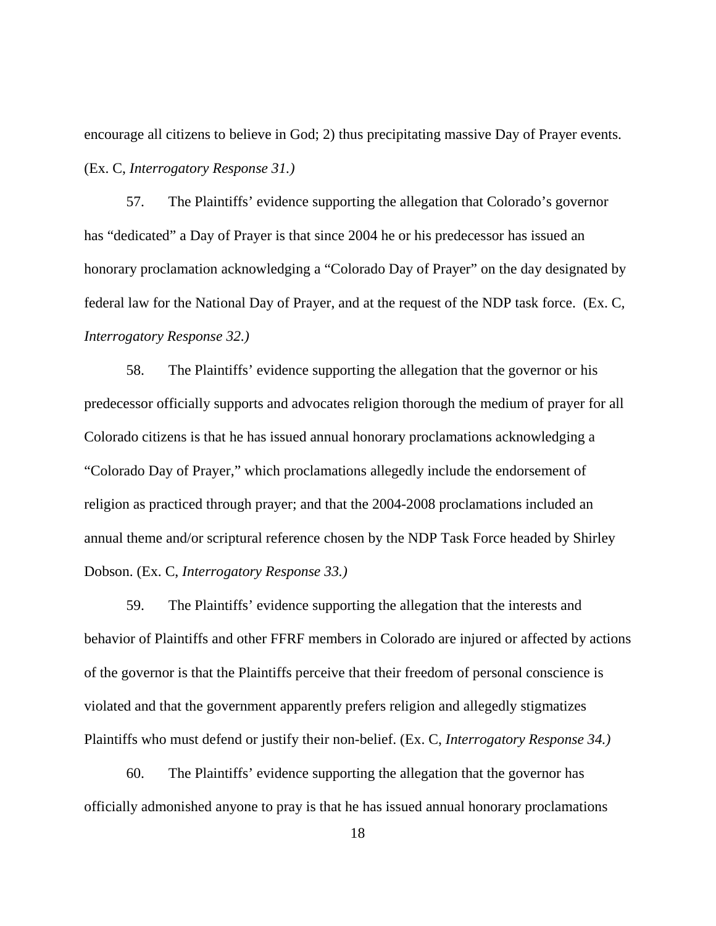encourage all citizens to believe in God; 2) thus precipitating massive Day of Prayer events. (Ex. C, *Interrogatory Response 31.)*

57. The Plaintiffs' evidence supporting the allegation that Colorado's governor has "dedicated" a Day of Prayer is that since 2004 he or his predecessor has issued an honorary proclamation acknowledging a "Colorado Day of Prayer" on the day designated by federal law for the National Day of Prayer, and at the request of the NDP task force. (Ex. C*, Interrogatory Response 32.)*

58. The Plaintiffs' evidence supporting the allegation that the governor or his predecessor officially supports and advocates religion thorough the medium of prayer for all Colorado citizens is that he has issued annual honorary proclamations acknowledging a "Colorado Day of Prayer," which proclamations allegedly include the endorsement of religion as practiced through prayer; and that the 2004-2008 proclamations included an annual theme and/or scriptural reference chosen by the NDP Task Force headed by Shirley Dobson. (Ex. C, *Interrogatory Response 33.)*

59. The Plaintiffs' evidence supporting the allegation that the interests and behavior of Plaintiffs and other FFRF members in Colorado are injured or affected by actions of the governor is that the Plaintiffs perceive that their freedom of personal conscience is violated and that the government apparently prefers religion and allegedly stigmatizes Plaintiffs who must defend or justify their non-belief. (Ex. C, *Interrogatory Response 34.)*

60. The Plaintiffs' evidence supporting the allegation that the governor has officially admonished anyone to pray is that he has issued annual honorary proclamations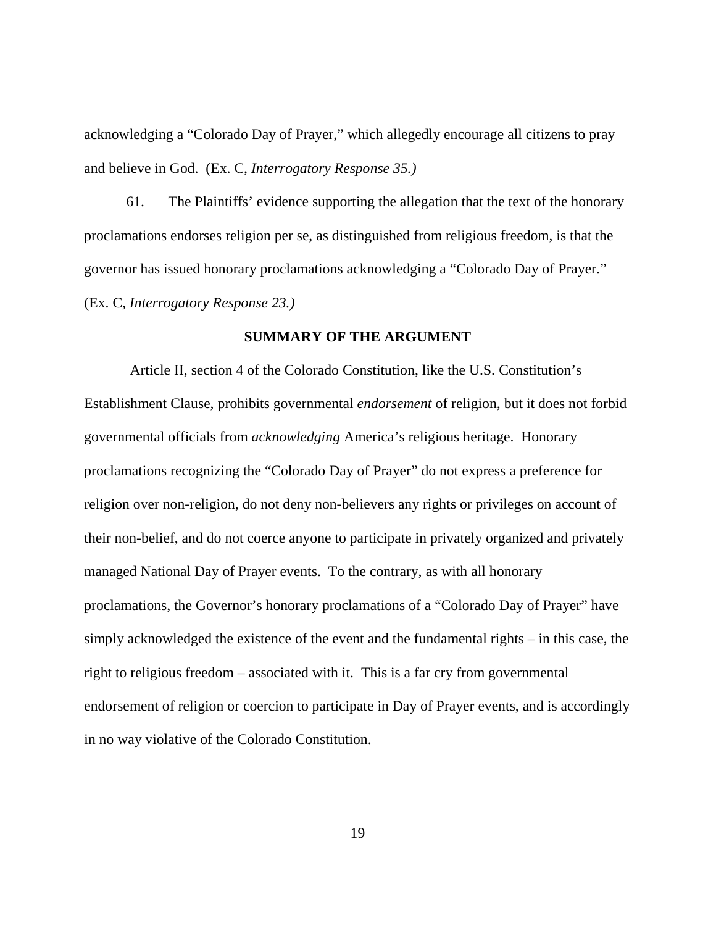acknowledging a "Colorado Day of Prayer," which allegedly encourage all citizens to pray and believe in God. (Ex. C, *Interrogatory Response 35.)*

61. The Plaintiffs' evidence supporting the allegation that the text of the honorary proclamations endorses religion per se, as distinguished from religious freedom, is that the governor has issued honorary proclamations acknowledging a "Colorado Day of Prayer." (Ex. C, *Interrogatory Response 23.)*

### **SUMMARY OF THE ARGUMENT**

Article II, section 4 of the Colorado Constitution, like the U.S. Constitution's Establishment Clause, prohibits governmental *endorsement* of religion, but it does not forbid governmental officials from *acknowledging* America's religious heritage. Honorary proclamations recognizing the "Colorado Day of Prayer" do not express a preference for religion over non-religion, do not deny non-believers any rights or privileges on account of their non-belief, and do not coerce anyone to participate in privately organized and privately managed National Day of Prayer events. To the contrary, as with all honorary proclamations, the Governor's honorary proclamations of a "Colorado Day of Prayer" have simply acknowledged the existence of the event and the fundamental rights – in this case, the right to religious freedom – associated with it. This is a far cry from governmental endorsement of religion or coercion to participate in Day of Prayer events, and is accordingly in no way violative of the Colorado Constitution.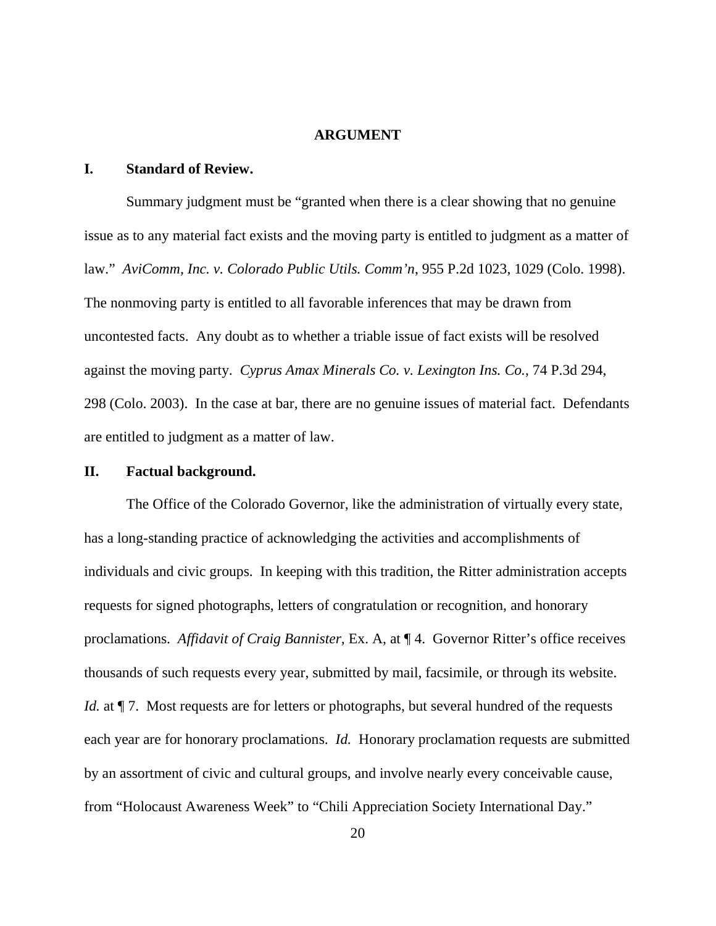#### **ARGUMENT**

### **I. Standard of Review.**

Summary judgment must be "granted when there is a clear showing that no genuine issue as to any material fact exists and the moving party is entitled to judgment as a matter of law." *AviComm, Inc. v. Colorado Public Utils. Comm'n*, 955 P.2d 1023, 1029 (Colo. 1998). The nonmoving party is entitled to all favorable inferences that may be drawn from uncontested facts. Any doubt as to whether a triable issue of fact exists will be resolved against the moving party. *Cyprus Amax Minerals Co. v. Lexington Ins. Co.*, 74 P.3d 294, 298 (Colo. 2003). In the case at bar, there are no genuine issues of material fact. Defendants are entitled to judgment as a matter of law.

### **II. Factual background.**

The Office of the Colorado Governor, like the administration of virtually every state, has a long-standing practice of acknowledging the activities and accomplishments of individuals and civic groups. In keeping with this tradition, the Ritter administration accepts requests for signed photographs, letters of congratulation or recognition, and honorary proclamations. *Affidavit of Craig Bannister,* Ex. A, at ¶ 4. Governor Ritter's office receives thousands of such requests every year, submitted by mail, facsimile, or through its website. *Id.* at  $\P$  7. Most requests are for letters or photographs, but several hundred of the requests each year are for honorary proclamations. *Id.* Honorary proclamation requests are submitted by an assortment of civic and cultural groups, and involve nearly every conceivable cause, from "Holocaust Awareness Week" to "Chili Appreciation Society International Day."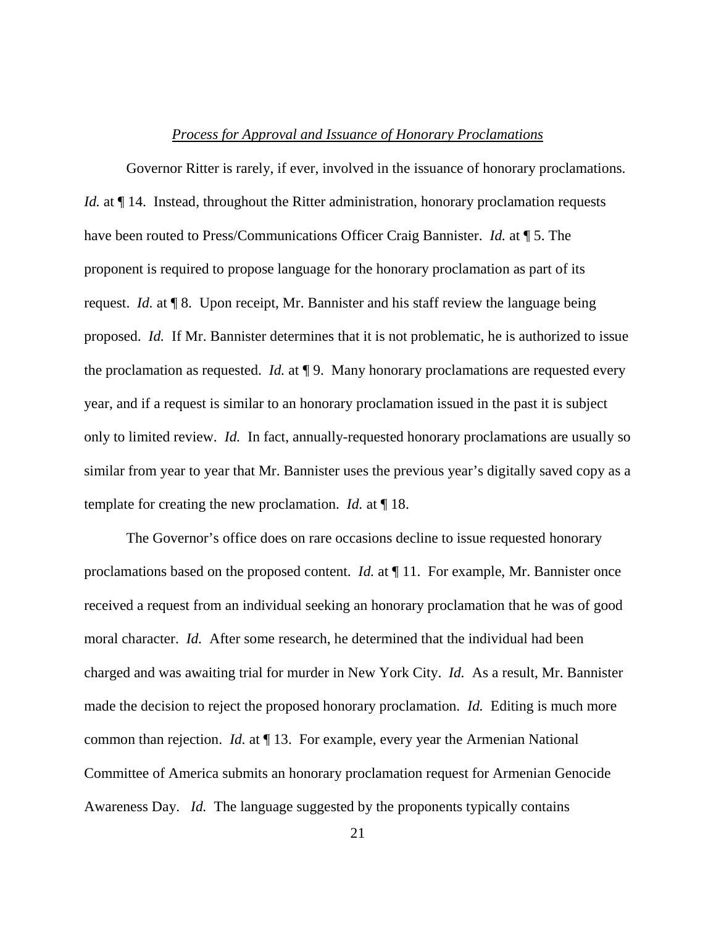### *Process for Approval and Issuance of Honorary Proclamations*

Governor Ritter is rarely, if ever, involved in the issuance of honorary proclamations. *Id.* at  $\P$  14. Instead, throughout the Ritter administration, honorary proclamation requests have been routed to Press/Communications Officer Craig Bannister. *Id.* at ¶ 5. The proponent is required to propose language for the honorary proclamation as part of its request. *Id.* at ¶ 8. Upon receipt, Mr. Bannister and his staff review the language being proposed. *Id.* If Mr. Bannister determines that it is not problematic, he is authorized to issue the proclamation as requested. *Id.* at ¶ 9. Many honorary proclamations are requested every year, and if a request is similar to an honorary proclamation issued in the past it is subject only to limited review. *Id.* In fact, annually-requested honorary proclamations are usually so similar from year to year that Mr. Bannister uses the previous year's digitally saved copy as a template for creating the new proclamation. *Id.* at ¶ 18.

The Governor's office does on rare occasions decline to issue requested honorary proclamations based on the proposed content. *Id.* at  $\P$  11. For example, Mr. Bannister once received a request from an individual seeking an honorary proclamation that he was of good moral character. *Id.* After some research, he determined that the individual had been charged and was awaiting trial for murder in New York City. *Id.* As a result, Mr. Bannister made the decision to reject the proposed honorary proclamation. *Id.* Editing is much more common than rejection. *Id.* at ¶ 13. For example, every year the Armenian National Committee of America submits an honorary proclamation request for Armenian Genocide Awareness Day. *Id.* The language suggested by the proponents typically contains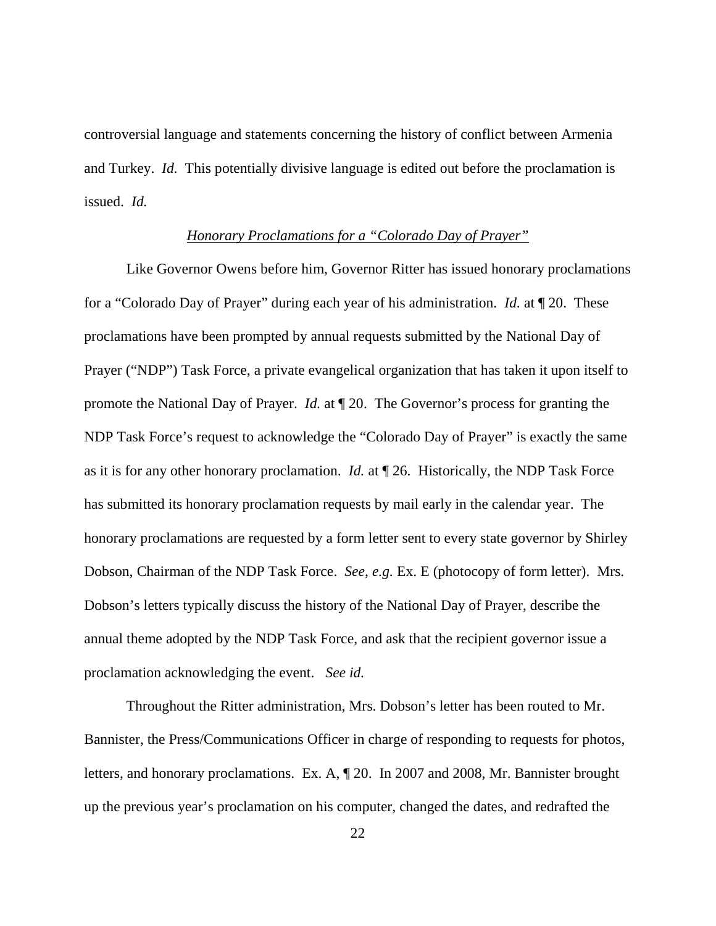controversial language and statements concerning the history of conflict between Armenia and Turkey. *Id.* This potentially divisive language is edited out before the proclamation is issued. *Id.*

#### *Honorary Proclamations for a "Colorado Day of Prayer"*

Like Governor Owens before him, Governor Ritter has issued honorary proclamations for a "Colorado Day of Prayer" during each year of his administration. *Id.* at ¶ 20. These proclamations have been prompted by annual requests submitted by the National Day of Prayer ("NDP") Task Force, a private evangelical organization that has taken it upon itself to promote the National Day of Prayer. *Id.* at ¶ 20. The Governor's process for granting the NDP Task Force's request to acknowledge the "Colorado Day of Prayer" is exactly the same as it is for any other honorary proclamation. *Id.* at ¶ 26. Historically, the NDP Task Force has submitted its honorary proclamation requests by mail early in the calendar year. The honorary proclamations are requested by a form letter sent to every state governor by Shirley Dobson, Chairman of the NDP Task Force. *See, e.g.* Ex. E (photocopy of form letter). Mrs. Dobson's letters typically discuss the history of the National Day of Prayer, describe the annual theme adopted by the NDP Task Force, and ask that the recipient governor issue a proclamation acknowledging the event. *See id.* 

Throughout the Ritter administration, Mrs. Dobson's letter has been routed to Mr. Bannister, the Press/Communications Officer in charge of responding to requests for photos, letters, and honorary proclamations. Ex. A, ¶ 20. In 2007 and 2008, Mr. Bannister brought up the previous year's proclamation on his computer, changed the dates, and redrafted the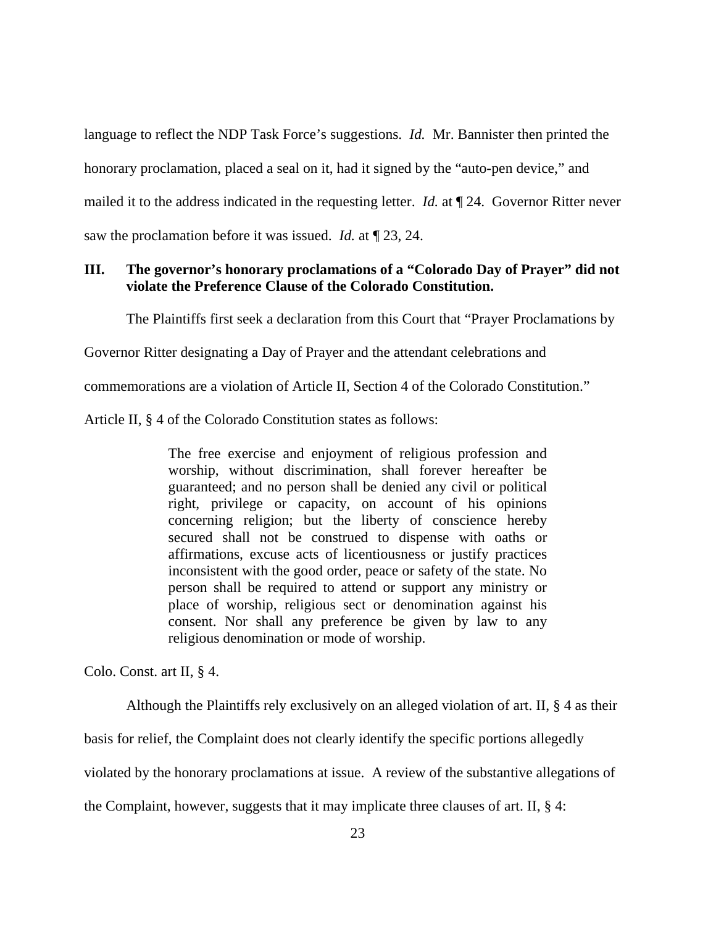language to reflect the NDP Task Force's suggestions. *Id.* Mr. Bannister then printed the honorary proclamation, placed a seal on it, had it signed by the "auto-pen device," and mailed it to the address indicated in the requesting letter. *Id.* at ¶ 24. Governor Ritter never saw the proclamation before it was issued. *Id.* at ¶ 23, 24.

# **III. The governor's honorary proclamations of a "Colorado Day of Prayer" did not violate the Preference Clause of the Colorado Constitution.**

The Plaintiffs first seek a declaration from this Court that "Prayer Proclamations by

Governor Ritter designating a Day of Prayer and the attendant celebrations and

commemorations are a violation of Article II, Section 4 of the Colorado Constitution."

Article II, § 4 of the Colorado Constitution states as follows:

The free exercise and enjoyment of religious profession and worship, without discrimination, shall forever hereafter be guaranteed; and no person shall be denied any civil or political right, privilege or capacity, on account of his opinions concerning religion; but the liberty of conscience hereby secured shall not be construed to dispense with oaths or affirmations, excuse acts of licentiousness or justify practices inconsistent with the good order, peace or safety of the state. No person shall be required to attend or support any ministry or place of worship, religious sect or denomination against his consent. Nor shall any preference be given by law to any religious denomination or mode of worship.

Colo. Const. art II, § 4.

Although the Plaintiffs rely exclusively on an alleged violation of art. II, § 4 as their basis for relief, the Complaint does not clearly identify the specific portions allegedly violated by the honorary proclamations at issue. A review of the substantive allegations of the Complaint, however, suggests that it may implicate three clauses of art. II,  $\S$  4: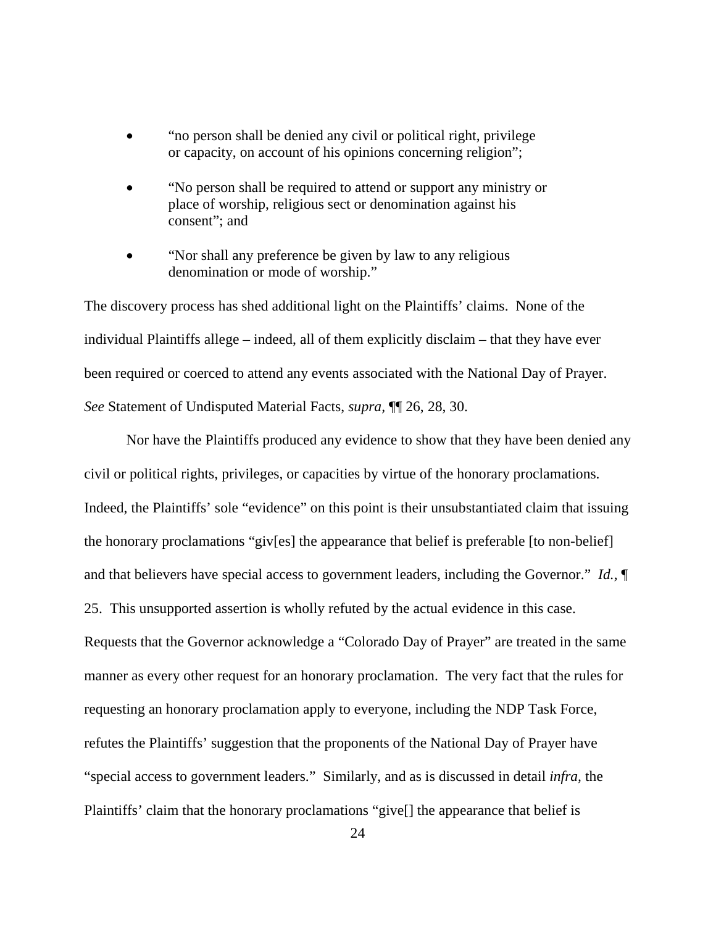- "no person shall be denied any civil or political right, privilege or capacity, on account of his opinions concerning religion";
- "No person shall be required to attend or support any ministry or place of worship, religious sect or denomination against his consent"; and
- "Nor shall any preference be given by law to any religious denomination or mode of worship."

The discovery process has shed additional light on the Plaintiffs' claims. None of the individual Plaintiffs allege – indeed, all of them explicitly disclaim – that they have ever been required or coerced to attend any events associated with the National Day of Prayer. *See* Statement of Undisputed Material Facts, *supra,* ¶¶ 26, 28, 30.

Nor have the Plaintiffs produced any evidence to show that they have been denied any civil or political rights, privileges, or capacities by virtue of the honorary proclamations. Indeed, the Plaintiffs' sole "evidence" on this point is their unsubstantiated claim that issuing the honorary proclamations "giv[es] the appearance that belief is preferable [to non-belief] and that believers have special access to government leaders, including the Governor." *Id.,* ¶ 25. This unsupported assertion is wholly refuted by the actual evidence in this case. Requests that the Governor acknowledge a "Colorado Day of Prayer" are treated in the same manner as every other request for an honorary proclamation. The very fact that the rules for requesting an honorary proclamation apply to everyone, including the NDP Task Force, refutes the Plaintiffs' suggestion that the proponents of the National Day of Prayer have "special access to government leaders." Similarly, and as is discussed in detail *infra,* the Plaintiffs' claim that the honorary proclamations "give[] the appearance that belief is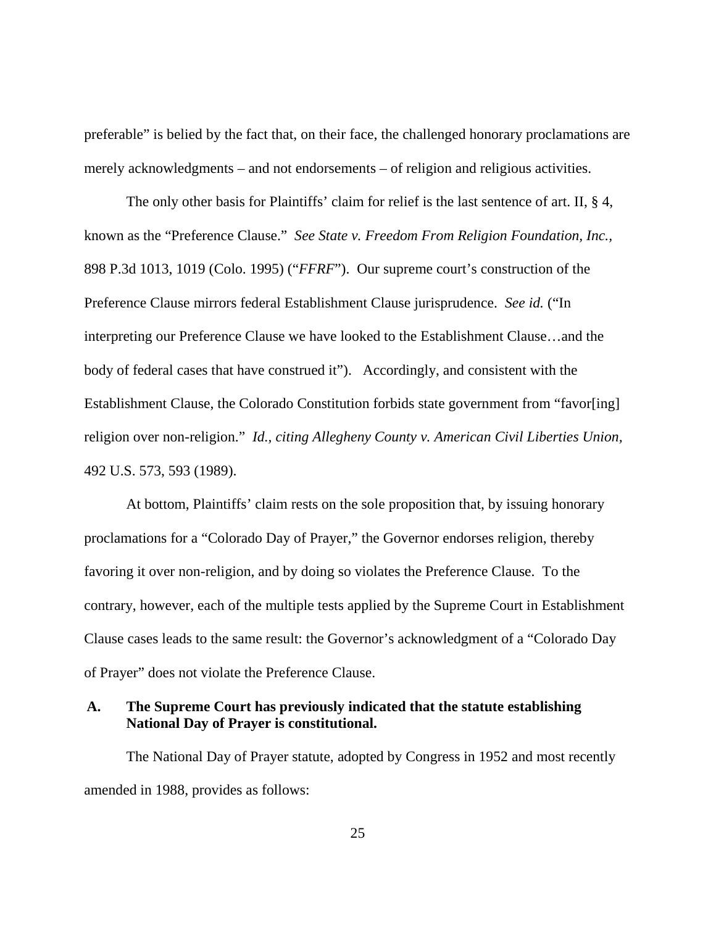preferable" is belied by the fact that, on their face, the challenged honorary proclamations are merely acknowledgments – and not endorsements – of religion and religious activities.

The only other basis for Plaintiffs' claim for relief is the last sentence of art. II, § 4, known as the "Preference Clause." *See State v. Freedom From Religion Foundation, Inc.,*  898 P.3d 1013, 1019 (Colo. 1995) ("*FFRF*"). Our supreme court's construction of the Preference Clause mirrors federal Establishment Clause jurisprudence. *See id.* ("In interpreting our Preference Clause we have looked to the Establishment Clause…and the body of federal cases that have construed it"). Accordingly, and consistent with the Establishment Clause, the Colorado Constitution forbids state government from "favor[ing] religion over non-religion." *Id., citing Allegheny County v. American Civil Liberties Union,*  492 U.S. 573, 593 (1989).

At bottom, Plaintiffs' claim rests on the sole proposition that, by issuing honorary proclamations for a "Colorado Day of Prayer," the Governor endorses religion, thereby favoring it over non-religion, and by doing so violates the Preference Clause. To the contrary, however, each of the multiple tests applied by the Supreme Court in Establishment Clause cases leads to the same result: the Governor's acknowledgment of a "Colorado Day of Prayer" does not violate the Preference Clause.

# **A. The Supreme Court has previously indicated that the statute establishing National Day of Prayer is constitutional.**

The National Day of Prayer statute, adopted by Congress in 1952 and most recently amended in 1988, provides as follows: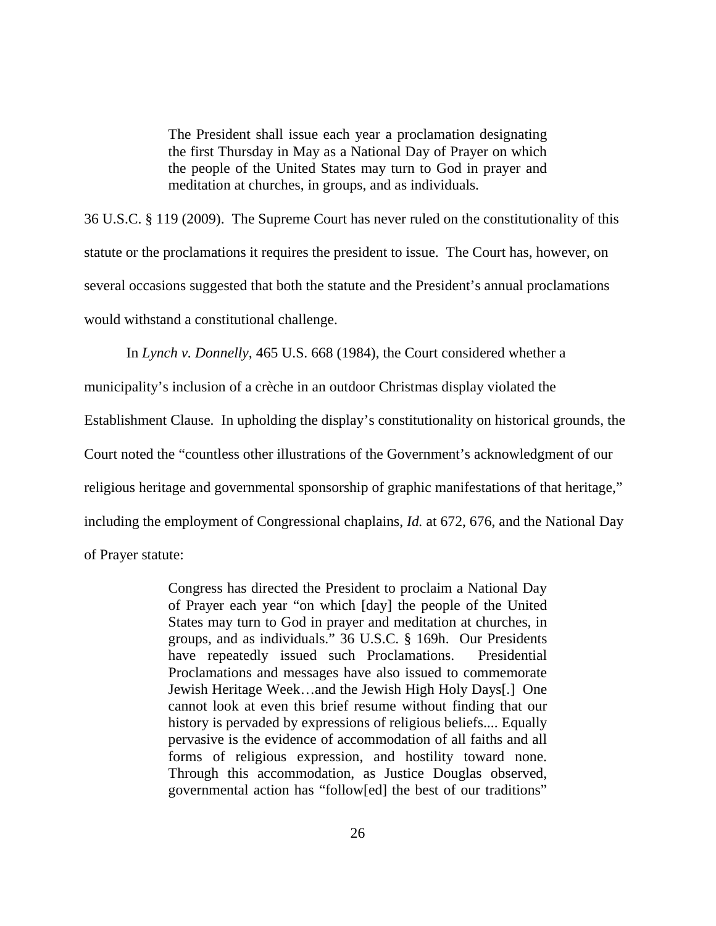The President shall issue each year a proclamation designating the first Thursday in May as a National Day of Prayer on which the people of the United States may turn to God in prayer and meditation at churches, in groups, and as individuals.

36 U.S.C. § 119 (2009). The Supreme Court has never ruled on the constitutionality of this statute or the proclamations it requires the president to issue. The Court has, however, on several occasions suggested that both the statute and the President's annual proclamations would withstand a constitutional challenge.

In *Lynch v. Donnelly,* 465 U.S. 668 (1984), the Court considered whether a

municipality's inclusion of a crèche in an outdoor Christmas display violated the

Establishment Clause. In upholding the display's constitutionality on historical grounds, the

Court noted the "countless other illustrations of the Government's acknowledgment of our

religious heritage and governmental sponsorship of graphic manifestations of that heritage,"

including the employment of Congressional chaplains, *Id.* at 672, 676, and the National Day

of Prayer statute:

Congress has directed the President to proclaim a National Day of Prayer each year "on which [day] the people of the United States may turn to God in prayer and meditation at churches, in groups, and as individuals." 36 U.S.C. § 169h. Our Presidents have repeatedly issued such Proclamations. Presidential Proclamations and messages have also issued to commemorate Jewish Heritage Week…and the Jewish High Holy Days[.] One cannot look at even this brief resume without finding that our history is pervaded by expressions of religious beliefs.... Equally pervasive is the evidence of accommodation of all faiths and all forms of religious expression, and hostility toward none. Through this accommodation, as Justice Douglas observed, governmental action has "follow[ed] the best of our traditions"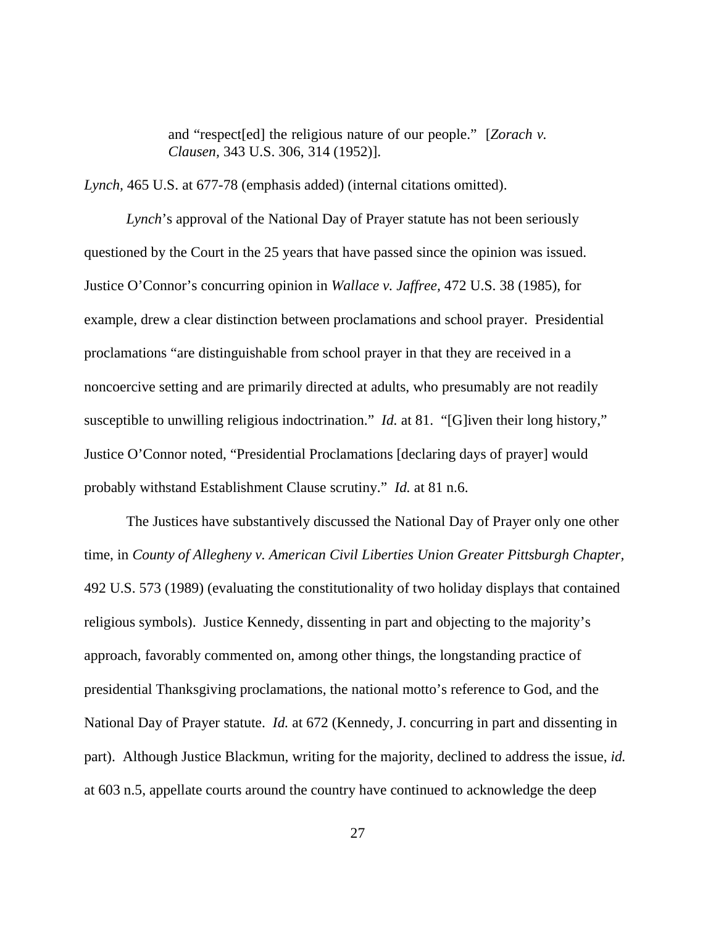and "respect[ed] the religious nature of our people." [*Zorach v. Clausen,* 343 U.S. 306, 314 (1952)].

*Lynch,* 465 U.S. at 677-78 (emphasis added) (internal citations omitted).

*Lynch*'s approval of the National Day of Prayer statute has not been seriously questioned by the Court in the 25 years that have passed since the opinion was issued. Justice O'Connor's concurring opinion in *Wallace v. Jaffree,* 472 U.S. 38 (1985), for example, drew a clear distinction between proclamations and school prayer. Presidential proclamations "are distinguishable from school prayer in that they are received in a noncoercive setting and are primarily directed at adults, who presumably are not readily susceptible to unwilling religious indoctrination." *Id.* at 81. "[G]iven their long history," Justice O'Connor noted, "Presidential Proclamations [declaring days of prayer] would probably withstand Establishment Clause scrutiny." *Id.* at 81 n.6.

The Justices have substantively discussed the National Day of Prayer only one other time, in *County of Allegheny v. American Civil Liberties Union Greater Pittsburgh Chapter,*  492 U.S. 573 (1989) (evaluating the constitutionality of two holiday displays that contained religious symbols). Justice Kennedy, dissenting in part and objecting to the majority's approach, favorably commented on, among other things, the longstanding practice of presidential Thanksgiving proclamations, the national motto's reference to God, and the National Day of Prayer statute. *Id.* at 672 (Kennedy, J. concurring in part and dissenting in part). Although Justice Blackmun, writing for the majority, declined to address the issue, *id.*  at 603 n.5, appellate courts around the country have continued to acknowledge the deep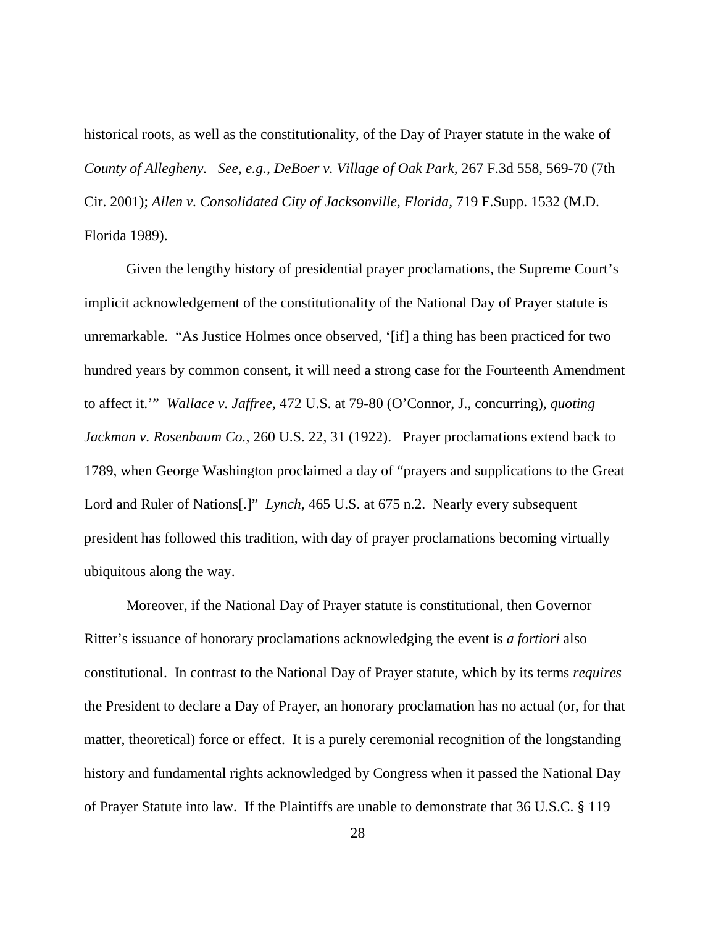historical roots, as well as the constitutionality, of the Day of Prayer statute in the wake of *County of Allegheny. See, e.g., DeBoer v. Village of Oak Park,* 267 F.3d 558, 569-70 (7th Cir. 2001); *Allen v. Consolidated City of Jacksonville, Florida,* 719 F.Supp. 1532 (M.D. Florida 1989).

Given the lengthy history of presidential prayer proclamations, the Supreme Court's implicit acknowledgement of the constitutionality of the National Day of Prayer statute is unremarkable. "As Justice Holmes once observed, '[if] a thing has been practiced for two hundred years by common consent, it will need a strong case for the Fourteenth Amendment to affect it.'" *Wallace v. Jaffree,* 472 U.S. at 79-80 (O'Connor, J., concurring), *quoting Jackman v. Rosenbaum Co.,* 260 U.S. 22, 31 (1922). Prayer proclamations extend back to 1789, when George Washington proclaimed a day of "prayers and supplications to the Great Lord and Ruler of Nations[.]" *Lynch,* 465 U.S. at 675 n.2. Nearly every subsequent president has followed this tradition, with day of prayer proclamations becoming virtually ubiquitous along the way.

Moreover, if the National Day of Prayer statute is constitutional, then Governor Ritter's issuance of honorary proclamations acknowledging the event is *a fortiori* also constitutional. In contrast to the National Day of Prayer statute, which by its terms *requires* the President to declare a Day of Prayer, an honorary proclamation has no actual (or, for that matter, theoretical) force or effect. It is a purely ceremonial recognition of the longstanding history and fundamental rights acknowledged by Congress when it passed the National Day of Prayer Statute into law. If the Plaintiffs are unable to demonstrate that 36 U.S.C. § 119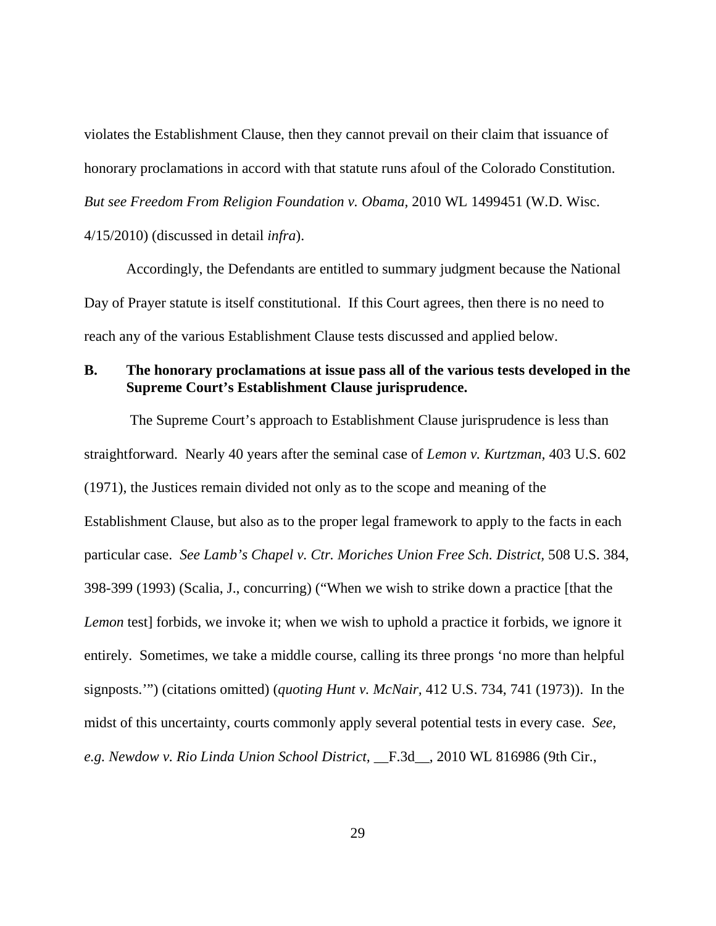violates the Establishment Clause, then they cannot prevail on their claim that issuance of honorary proclamations in accord with that statute runs afoul of the Colorado Constitution. *But see Freedom From Religion Foundation v. Obama,* 2010 WL 1499451 (W.D. Wisc. 4/15/2010) (discussed in detail *infra*).

Accordingly, the Defendants are entitled to summary judgment because the National Day of Prayer statute is itself constitutional. If this Court agrees, then there is no need to reach any of the various Establishment Clause tests discussed and applied below.

# **B. The honorary proclamations at issue pass all of the various tests developed in the Supreme Court's Establishment Clause jurisprudence.**

The Supreme Court's approach to Establishment Clause jurisprudence is less than straightforward. Nearly 40 years after the seminal case of *Lemon v. Kurtzman,* 403 U.S. 602 (1971), the Justices remain divided not only as to the scope and meaning of the Establishment Clause, but also as to the proper legal framework to apply to the facts in each particular case. *See Lamb's Chapel v. Ctr. Moriches Union Free Sch. District,* 508 U.S. 384, 398-399 (1993) (Scalia, J., concurring) ("When we wish to strike down a practice [that the *Lemon* test] forbids, we invoke it; when we wish to uphold a practice it forbids, we ignore it entirely. Sometimes, we take a middle course, calling its three prongs 'no more than helpful signposts.'") (citations omitted) (*quoting Hunt v. McNair,* 412 U.S. 734, 741 (1973)). In the midst of this uncertainty, courts commonly apply several potential tests in every case. *See, e.g. Newdow v. Rio Linda Union School District,* \_\_F.3d\_\_, 2010 WL 816986 (9th Cir.,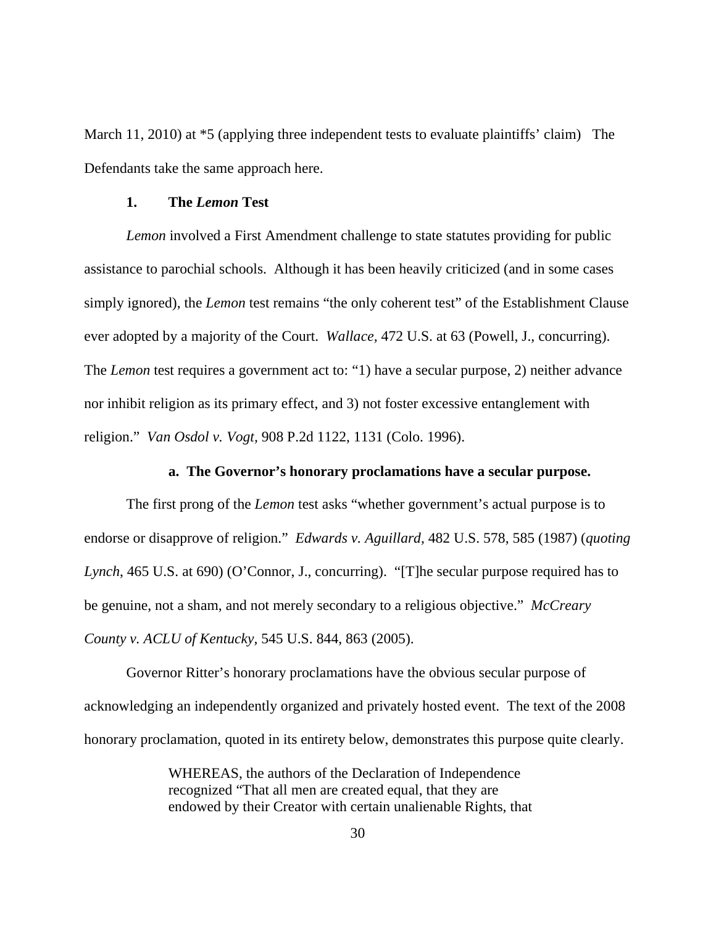March 11, 2010) at  $*5$  (applying three independent tests to evaluate plaintiffs' claim) The Defendants take the same approach here.

## **1. The** *Lemon* **Test**

*Lemon* involved a First Amendment challenge to state statutes providing for public assistance to parochial schools. Although it has been heavily criticized (and in some cases simply ignored), the *Lemon* test remains "the only coherent test" of the Establishment Clause ever adopted by a majority of the Court. *Wallace,* 472 U.S. at 63 (Powell, J., concurring). The *Lemon* test requires a government act to: "1) have a secular purpose, 2) neither advance nor inhibit religion as its primary effect, and 3) not foster excessive entanglement with religion." *Van Osdol v. Vogt,* 908 P.2d 1122, 1131 (Colo. 1996).

## **a. The Governor's honorary proclamations have a secular purpose.**

The first prong of the *Lemon* test asks "whether government's actual purpose is to endorse or disapprove of religion." *Edwards v. Aguillard,* 482 U.S. 578, 585 (1987) (*quoting Lynch*, 465 U.S. at 690) (O'Connor, J., concurring). "[T]he secular purpose required has to be genuine, not a sham, and not merely secondary to a religious objective." *McCreary County v. ACLU of Kentucky,* 545 U.S. 844, 863 (2005).

Governor Ritter's honorary proclamations have the obvious secular purpose of acknowledging an independently organized and privately hosted event. The text of the 2008 honorary proclamation, quoted in its entirety below, demonstrates this purpose quite clearly.

> WHEREAS, the authors of the Declaration of Independence recognized "That all men are created equal, that they are endowed by their Creator with certain unalienable Rights, that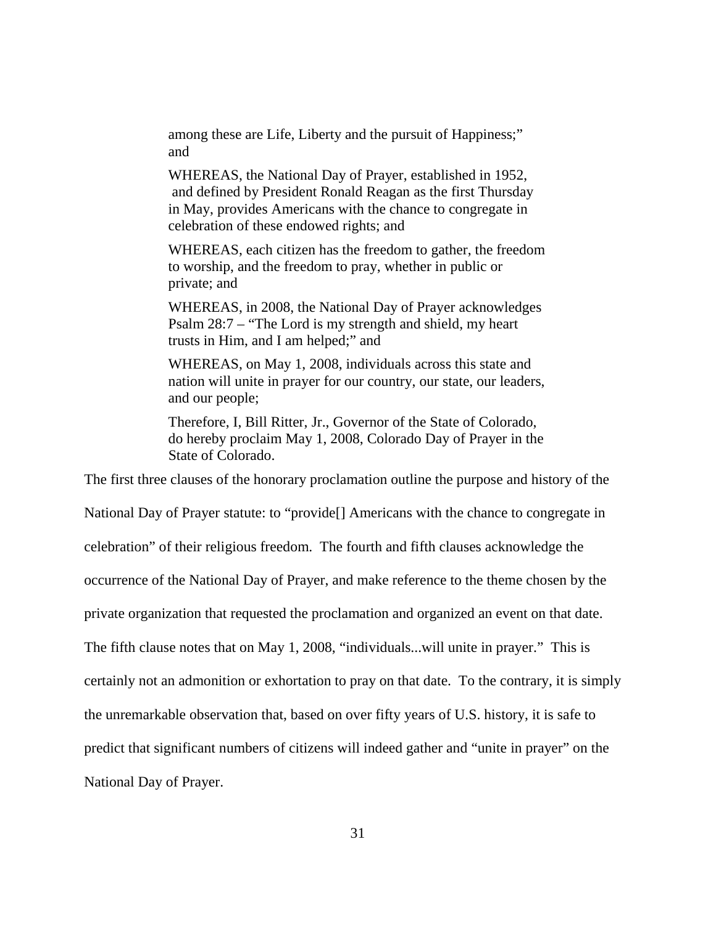among these are Life, Liberty and the pursuit of Happiness;" and

WHEREAS, the National Day of Prayer, established in 1952, and defined by President Ronald Reagan as the first Thursday in May, provides Americans with the chance to congregate in celebration of these endowed rights; and

WHEREAS, each citizen has the freedom to gather, the freedom to worship, and the freedom to pray, whether in public or private; and

WHEREAS, in 2008, the National Day of Prayer acknowledges Psalm 28:7 – "The Lord is my strength and shield, my heart trusts in Him, and I am helped;" and

WHEREAS, on May 1, 2008, individuals across this state and nation will unite in prayer for our country, our state, our leaders, and our people;

Therefore, I, Bill Ritter, Jr., Governor of the State of Colorado, do hereby proclaim May 1, 2008, Colorado Day of Prayer in the State of Colorado.

The first three clauses of the honorary proclamation outline the purpose and history of the

National Day of Prayer statute: to "provide[] Americans with the chance to congregate in

celebration" of their religious freedom. The fourth and fifth clauses acknowledge the

occurrence of the National Day of Prayer, and make reference to the theme chosen by the

private organization that requested the proclamation and organized an event on that date.

The fifth clause notes that on May 1, 2008, "individuals...will unite in prayer." This is

certainly not an admonition or exhortation to pray on that date. To the contrary, it is simply

the unremarkable observation that, based on over fifty years of U.S. history, it is safe to

predict that significant numbers of citizens will indeed gather and "unite in prayer" on the

National Day of Prayer.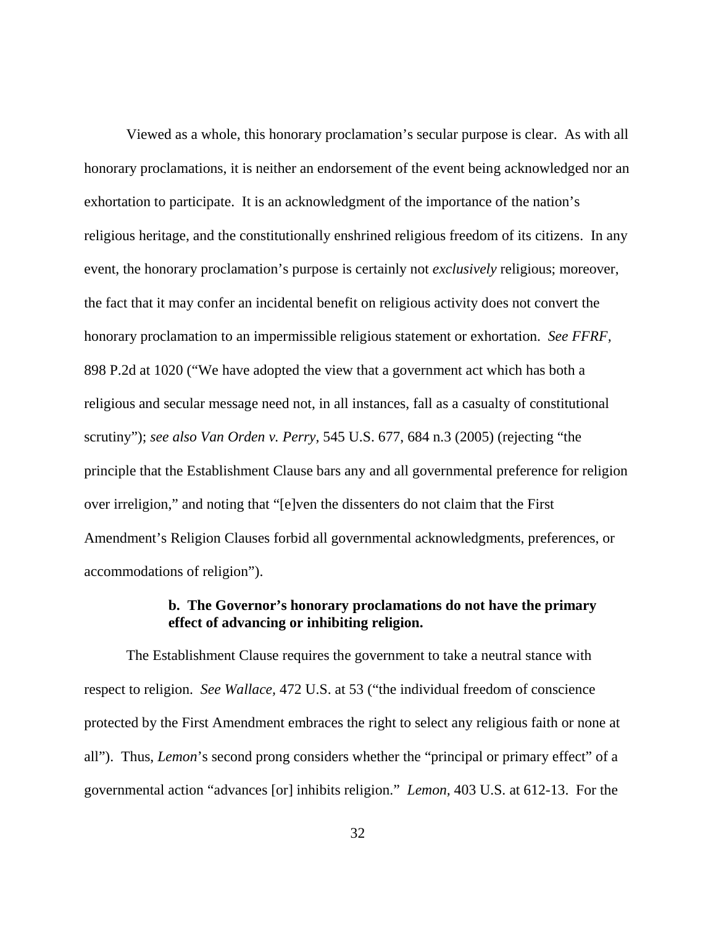Viewed as a whole, this honorary proclamation's secular purpose is clear. As with all honorary proclamations, it is neither an endorsement of the event being acknowledged nor an exhortation to participate. It is an acknowledgment of the importance of the nation's religious heritage, and the constitutionally enshrined religious freedom of its citizens. In any event, the honorary proclamation's purpose is certainly not *exclusively* religious; moreover, the fact that it may confer an incidental benefit on religious activity does not convert the honorary proclamation to an impermissible religious statement or exhortation. *See FFRF,*  898 P.2d at 1020 ("We have adopted the view that a government act which has both a religious and secular message need not, in all instances, fall as a casualty of constitutional scrutiny"); *see also Van Orden v. Perry,* 545 U.S. 677, 684 n.3 (2005) (rejecting "the principle that the Establishment Clause bars any and all governmental preference for religion over irreligion," and noting that "[e]ven the dissenters do not claim that the First Amendment's Religion Clauses forbid all governmental acknowledgments, preferences, or accommodations of religion").

# **b. The Governor's honorary proclamations do not have the primary effect of advancing or inhibiting religion.**

The Establishment Clause requires the government to take a neutral stance with respect to religion. *See Wallace,* 472 U.S. at 53 ("the individual freedom of conscience protected by the First Amendment embraces the right to select any religious faith or none at all"). Thus, *Lemon*'s second prong considers whether the "principal or primary effect" of a governmental action "advances [or] inhibits religion." *Lemon,* 403 U.S. at 612-13. For the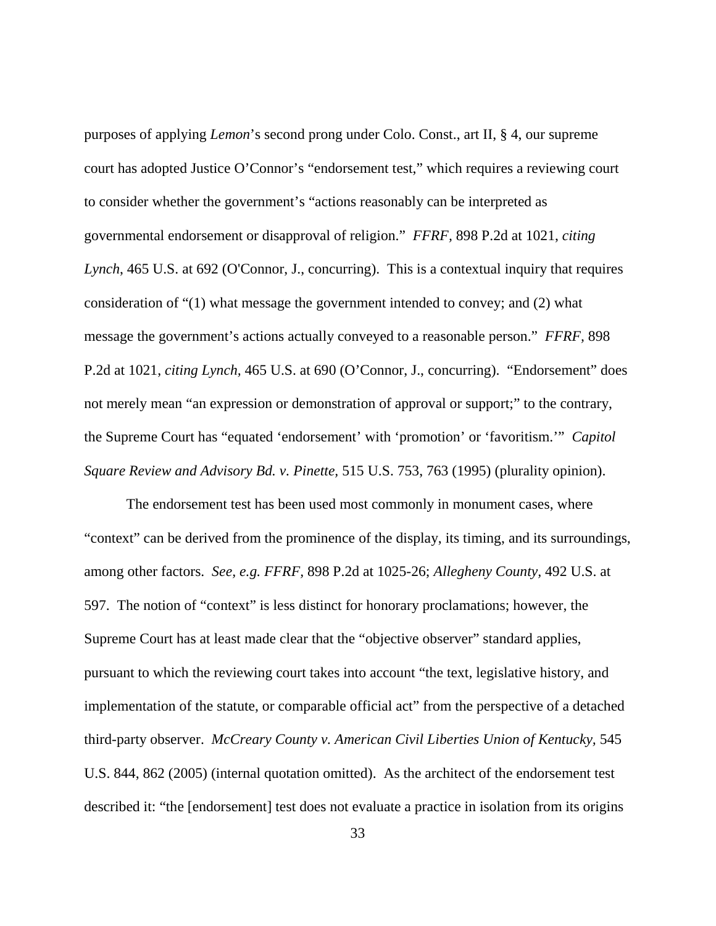purposes of applying *Lemon*'s second prong under Colo. Const., art II, § 4, our supreme court has adopted Justice O'Connor's "endorsement test," which requires a reviewing court to consider whether the government's "actions reasonably can be interpreted as governmental endorsement or disapproval of religion." *FFRF,* 898 P.2d at 1021, *citing Lynch*, 465 U.S. at 692 (O'Connor, J., concurring). This is a contextual inquiry that requires consideration of "(1) what message the government intended to convey; and (2) what message the government's actions actually conveyed to a reasonable person." *FFRF,* 898 P.2d at 1021, *citing Lynch,* 465 U.S. at 690 (O'Connor, J., concurring). "Endorsement" does not merely mean "an expression or demonstration of approval or support;" to the contrary, the Supreme Court has "equated 'endorsement' with 'promotion' or 'favoritism.'" *Capitol Square Review and Advisory Bd. v. Pinette,* 515 U.S. 753, 763 (1995) (plurality opinion).

The endorsement test has been used most commonly in monument cases, where "context" can be derived from the prominence of the display, its timing, and its surroundings, among other factors. *See, e.g. FFRF,* 898 P.2d at 1025-26; *Allegheny County,* 492 U.S. at 597. The notion of "context" is less distinct for honorary proclamations; however, the Supreme Court has at least made clear that the "objective observer" standard applies, pursuant to which the reviewing court takes into account "the text, legislative history, and implementation of the statute, or comparable official act" from the perspective of a detached third-party observer. *McCreary County v. American Civil Liberties Union of Kentucky*, 545 U.S. 844, 862 (2005) (internal quotation omitted). As the architect of the endorsement test described it: "the [endorsement] test does not evaluate a practice in isolation from its origins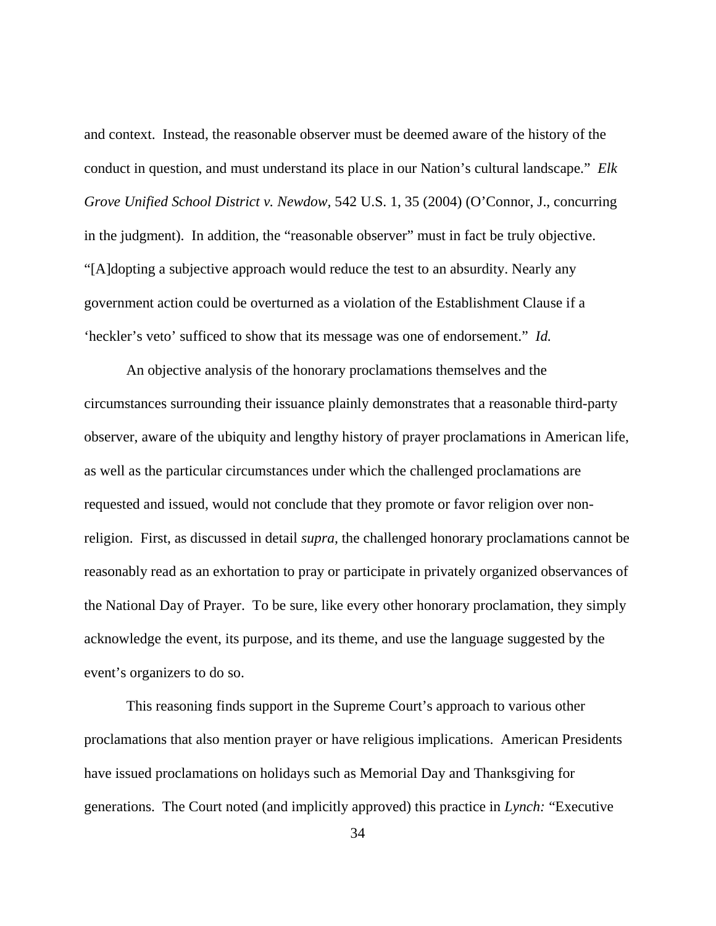and context. Instead, the reasonable observer must be deemed aware of the history of the conduct in question, and must understand its place in our Nation's cultural landscape." *Elk Grove Unified School District v. Newdow,* 542 U.S. 1, 35 (2004) (O'Connor, J., concurring in the judgment). In addition, the "reasonable observer" must in fact be truly objective. "[A]dopting a subjective approach would reduce the test to an absurdity. Nearly any government action could be overturned as a violation of the Establishment Clause if a 'heckler's veto' sufficed to show that its message was one of endorsement." *Id.*

An objective analysis of the honorary proclamations themselves and the circumstances surrounding their issuance plainly demonstrates that a reasonable third-party observer, aware of the ubiquity and lengthy history of prayer proclamations in American life, as well as the particular circumstances under which the challenged proclamations are requested and issued, would not conclude that they promote or favor religion over nonreligion. First, as discussed in detail *supra,* the challenged honorary proclamations cannot be reasonably read as an exhortation to pray or participate in privately organized observances of the National Day of Prayer. To be sure, like every other honorary proclamation, they simply acknowledge the event, its purpose, and its theme, and use the language suggested by the event's organizers to do so.

This reasoning finds support in the Supreme Court's approach to various other proclamations that also mention prayer or have religious implications. American Presidents have issued proclamations on holidays such as Memorial Day and Thanksgiving for generations. The Court noted (and implicitly approved) this practice in *Lynch:* "Executive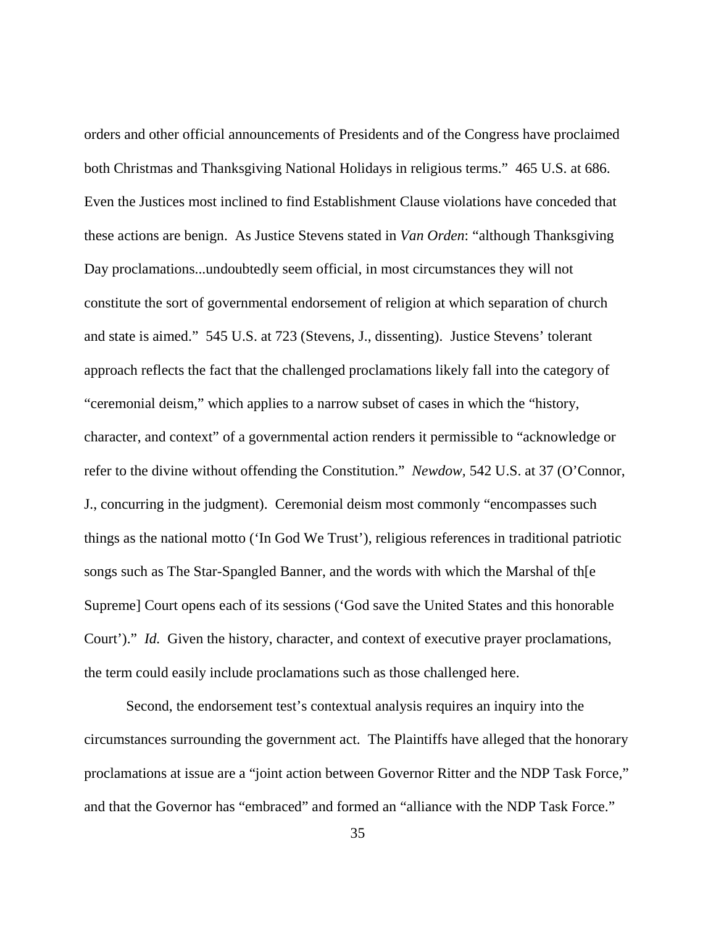orders and other official announcements of Presidents and of the Congress have proclaimed both Christmas and Thanksgiving National Holidays in religious terms." 465 U.S. at 686. Even the Justices most inclined to find Establishment Clause violations have conceded that these actions are benign. As Justice Stevens stated in *Van Orden*: "although Thanksgiving Day proclamations...undoubtedly seem official, in most circumstances they will not constitute the sort of governmental endorsement of religion at which separation of church and state is aimed." 545 U.S. at 723 (Stevens, J., dissenting). Justice Stevens' tolerant approach reflects the fact that the challenged proclamations likely fall into the category of "ceremonial deism," which applies to a narrow subset of cases in which the "history, character, and context" of a governmental action renders it permissible to "acknowledge or refer to the divine without offending the Constitution." *Newdow,* 542 U.S. at 37 (O'Connor, J., concurring in the judgment). Ceremonial deism most commonly "encompasses such things as the national motto ('In God We Trust'), religious references in traditional patriotic songs such as The Star-Spangled Banner, and the words with which the Marshal of th[e Supreme] Court opens each of its sessions ('God save the United States and this honorable Court')." *Id.* Given the history, character, and context of executive prayer proclamations, the term could easily include proclamations such as those challenged here.

Second, the endorsement test's contextual analysis requires an inquiry into the circumstances surrounding the government act. The Plaintiffs have alleged that the honorary proclamations at issue are a "joint action between Governor Ritter and the NDP Task Force," and that the Governor has "embraced" and formed an "alliance with the NDP Task Force."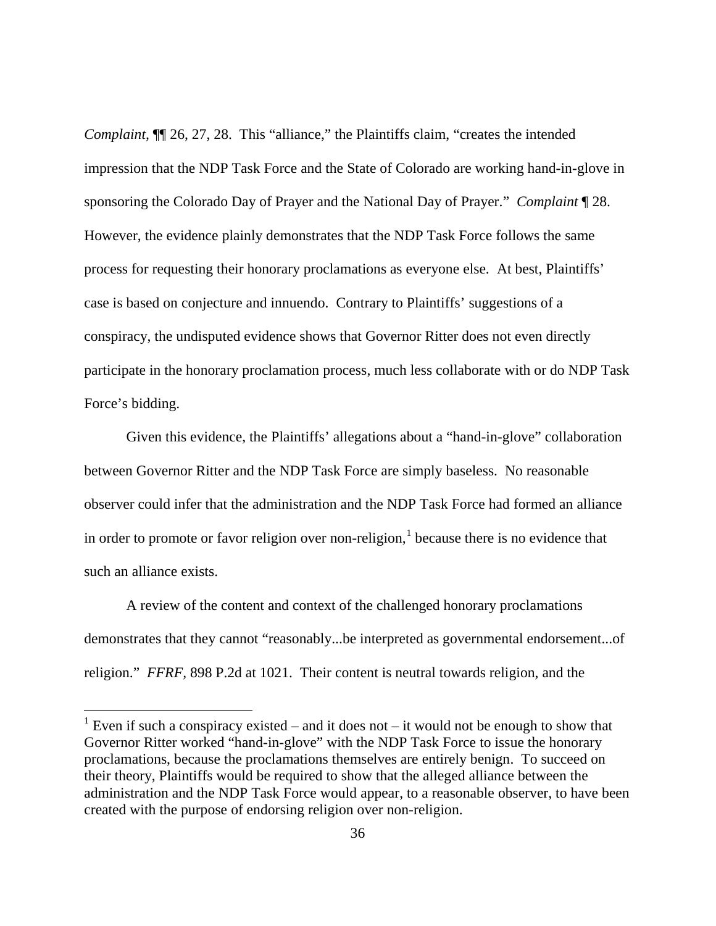*Complaint*,  $\P$  26, 27, 28. This "alliance," the Plaintiffs claim, "creates the intended impression that the NDP Task Force and the State of Colorado are working hand-in-glove in sponsoring the Colorado Day of Prayer and the National Day of Prayer." *Complaint* ¶ 28. However, the evidence plainly demonstrates that the NDP Task Force follows the same process for requesting their honorary proclamations as everyone else. At best, Plaintiffs' case is based on conjecture and innuendo. Contrary to Plaintiffs' suggestions of a conspiracy, the undisputed evidence shows that Governor Ritter does not even directly participate in the honorary proclamation process, much less collaborate with or do NDP Task Force's bidding.

Given this evidence, the Plaintiffs' allegations about a "hand-in-glove" collaboration between Governor Ritter and the NDP Task Force are simply baseless. No reasonable observer could infer that the administration and the NDP Task Force had formed an alliance in order to promote or favor religion over non-religion, $<sup>1</sup>$  $<sup>1</sup>$  $<sup>1</sup>$  because there is no evidence that</sup> such an alliance exists.

A review of the content and context of the challenged honorary proclamations demonstrates that they cannot "reasonably...be interpreted as governmental endorsement...of religion." *FFRF,* 898 P.2d at 1021. Their content is neutral towards religion, and the

<span id="page-35-0"></span><sup>&</sup>lt;sup>1</sup> Even if such a conspiracy existed – and it does not – it would not be enough to show that Governor Ritter worked "hand-in-glove" with the NDP Task Force to issue the honorary proclamations, because the proclamations themselves are entirely benign. To succeed on their theory, Plaintiffs would be required to show that the alleged alliance between the administration and the NDP Task Force would appear, to a reasonable observer, to have been created with the purpose of endorsing religion over non-religion.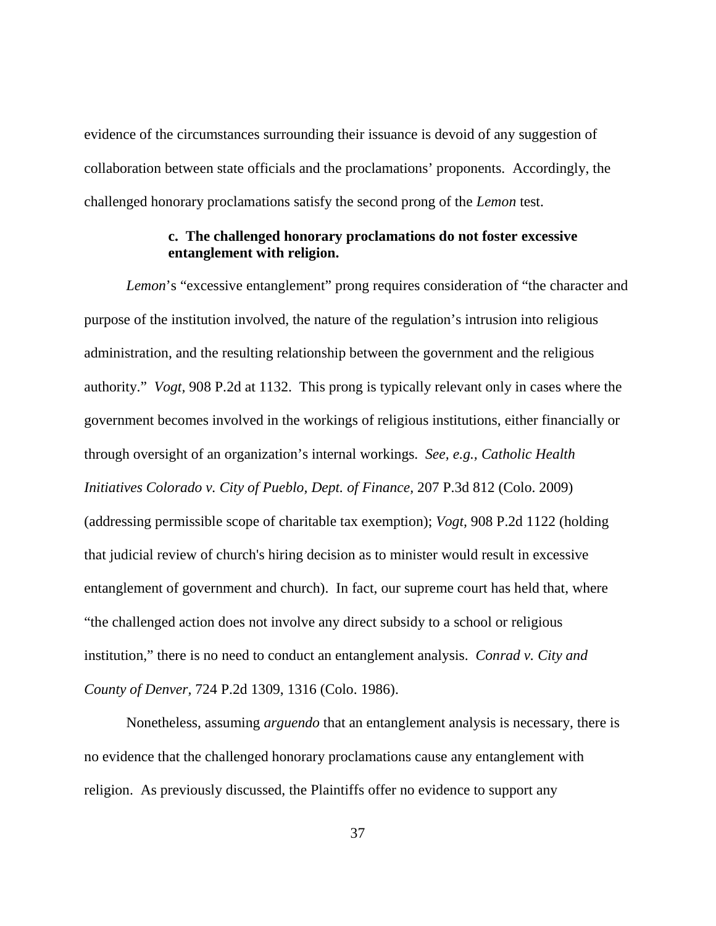evidence of the circumstances surrounding their issuance is devoid of any suggestion of collaboration between state officials and the proclamations' proponents. Accordingly, the challenged honorary proclamations satisfy the second prong of the *Lemon* test.

## **c. The challenged honorary proclamations do not foster excessive entanglement with religion.**

*Lemon*'s "excessive entanglement" prong requires consideration of "the character and purpose of the institution involved, the nature of the regulation's intrusion into religious administration, and the resulting relationship between the government and the religious authority." *Vogt,* 908 P.2d at 1132. This prong is typically relevant only in cases where the government becomes involved in the workings of religious institutions, either financially or through oversight of an organization's internal workings. *See, e.g., Catholic Health Initiatives Colorado v. City of Pueblo, Dept. of Finance,* 207 P.3d 812 (Colo. 2009) (addressing permissible scope of charitable tax exemption); *Vogt,* 908 P.2d 1122 (holding that judicial review of church's hiring decision as to minister would result in excessive entanglement of government and church). In fact, our supreme court has held that, where "the challenged action does not involve any direct subsidy to a school or religious institution," there is no need to conduct an entanglement analysis. *Conrad v. City and County of Denver,* 724 P.2d 1309, 1316 (Colo. 1986).

Nonetheless, assuming *arguendo* that an entanglement analysis is necessary, there is no evidence that the challenged honorary proclamations cause any entanglement with religion. As previously discussed, the Plaintiffs offer no evidence to support any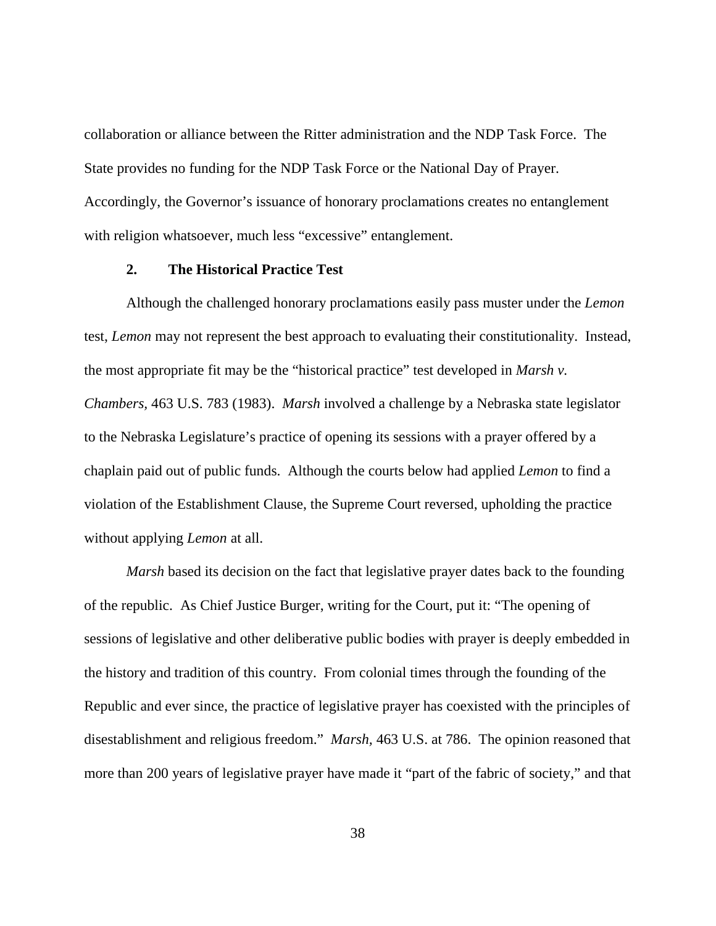collaboration or alliance between the Ritter administration and the NDP Task Force. The State provides no funding for the NDP Task Force or the National Day of Prayer. Accordingly, the Governor's issuance of honorary proclamations creates no entanglement with religion whatsoever, much less "excessive" entanglement.

## **2. The Historical Practice Test**

Although the challenged honorary proclamations easily pass muster under the *Lemon*  test, *Lemon* may not represent the best approach to evaluating their constitutionality. Instead, the most appropriate fit may be the "historical practice" test developed in *Marsh v. Chambers,* 463 U.S. 783 (1983). *Marsh* involved a challenge by a Nebraska state legislator to the Nebraska Legislature's practice of opening its sessions with a prayer offered by a chaplain paid out of public funds. Although the courts below had applied *Lemon* to find a violation of the Establishment Clause, the Supreme Court reversed, upholding the practice without applying *Lemon* at all.

*Marsh* based its decision on the fact that legislative prayer dates back to the founding of the republic. As Chief Justice Burger, writing for the Court, put it: "The opening of sessions of legislative and other deliberative public bodies with prayer is deeply embedded in the history and tradition of this country. From colonial times through the founding of the Republic and ever since, the practice of legislative prayer has coexisted with the principles of disestablishment and religious freedom." *Marsh,* 463 U.S. at 786. The opinion reasoned that more than 200 years of legislative prayer have made it "part of the fabric of society," and that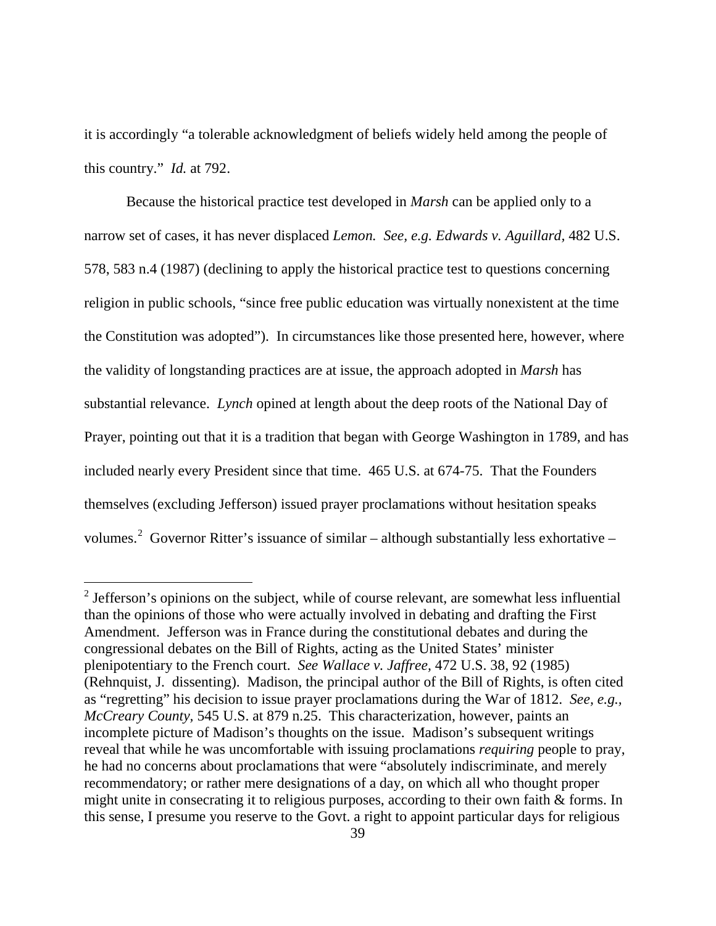it is accordingly "a tolerable acknowledgment of beliefs widely held among the people of this country." *Id.* at 792.

Because the historical practice test developed in *Marsh* can be applied only to a narrow set of cases, it has never displaced *Lemon. See, e.g. Edwards v. Aguillard,* 482 U.S. 578, 583 n.4 (1987) (declining to apply the historical practice test to questions concerning religion in public schools, "since free public education was virtually nonexistent at the time the Constitution was adopted"). In circumstances like those presented here, however, where the validity of longstanding practices are at issue, the approach adopted in *Marsh* has substantial relevance. *Lynch* opined at length about the deep roots of the National Day of Prayer, pointing out that it is a tradition that began with George Washington in 1789, and has included nearly every President since that time. 465 U.S. at 674-75. That the Founders themselves (excluding Jefferson) issued prayer proclamations without hesitation speaks volumes.<sup>[2](#page-38-0)</sup> Governor Ritter's issuance of similar – although substantially less exhortative –

<span id="page-38-0"></span> $2$  Jefferson's opinions on the subject, while of course relevant, are somewhat less influential than the opinions of those who were actually involved in debating and drafting the First Amendment. Jefferson was in France during the constitutional debates and during the congressional debates on the Bill of Rights, acting as the United States' minister plenipotentiary to the French court. *See Wallace v. Jaffree,* 472 U.S. 38, 92 (1985) (Rehnquist, J. dissenting). Madison, the principal author of the Bill of Rights, is often cited as "regretting" his decision to issue prayer proclamations during the War of 1812. *See, e.g., McCreary County,* 545 U.S. at 879 n.25. This characterization, however, paints an incomplete picture of Madison's thoughts on the issue. Madison's subsequent writings reveal that while he was uncomfortable with issuing proclamations *requiring* people to pray, he had no concerns about proclamations that were "absolutely indiscriminate, and merely recommendatory; or rather mere designations of a day, on which all who thought proper might unite in consecrating it to religious purposes, according to their own faith & forms. In this sense, I presume you reserve to the Govt. a right to appoint particular days for religious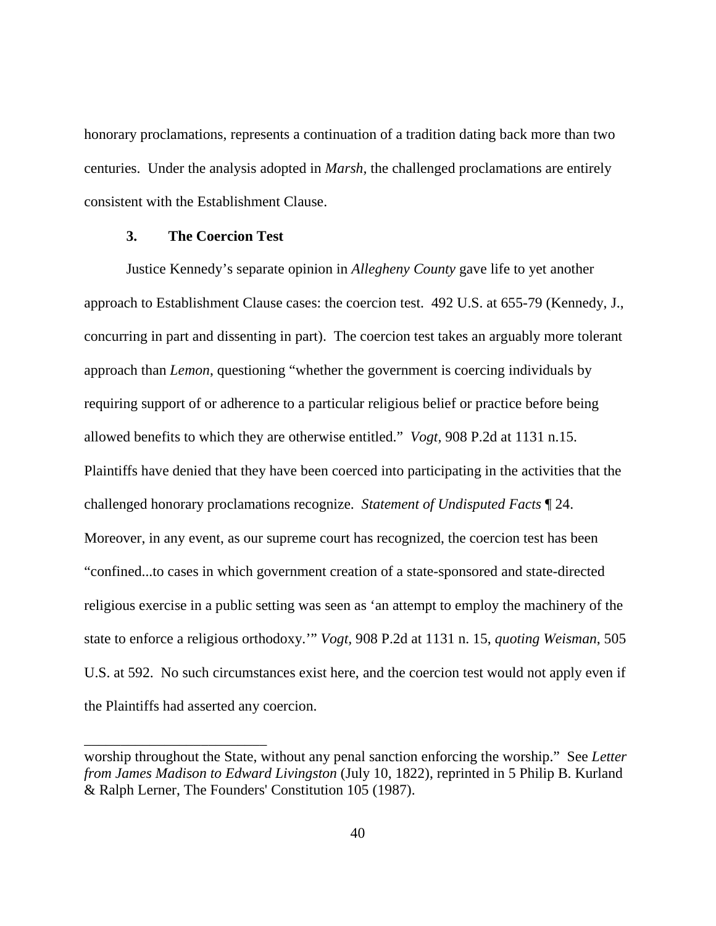honorary proclamations, represents a continuation of a tradition dating back more than two centuries. Under the analysis adopted in *Marsh,* the challenged proclamations are entirely consistent with the Establishment Clause.

## **3. The Coercion Test**

\_\_\_\_\_\_\_\_\_\_\_\_\_\_\_\_\_\_\_\_\_\_\_\_\_

Justice Kennedy's separate opinion in *Allegheny County* gave life to yet another approach to Establishment Clause cases: the coercion test. 492 U.S. at 655-79 (Kennedy, J., concurring in part and dissenting in part). The coercion test takes an arguably more tolerant approach than *Lemon*, questioning "whether the government is coercing individuals by requiring support of or adherence to a particular religious belief or practice before being allowed benefits to which they are otherwise entitled." *Vogt,* 908 P.2d at 1131 n.15. Plaintiffs have denied that they have been coerced into participating in the activities that the challenged honorary proclamations recognize. *Statement of Undisputed Facts* ¶ 24. Moreover, in any event, as our supreme court has recognized, the coercion test has been "confined...to cases in which government creation of a state-sponsored and state-directed religious exercise in a public setting was seen as 'an attempt to employ the machinery of the state to enforce a religious orthodoxy.'" *Vogt,* 908 P.2d at 1131 n. 15, *quoting Weisman*, 505 U.S. at 592. No such circumstances exist here, and the coercion test would not apply even if the Plaintiffs had asserted any coercion.

worship throughout the State, without any penal sanction enforcing the worship." See *Letter from James Madison to Edward Livingston* (July 10, 1822), reprinted in 5 Philip B. Kurland & Ralph Lerner, The Founders' Constitution 105 (1987).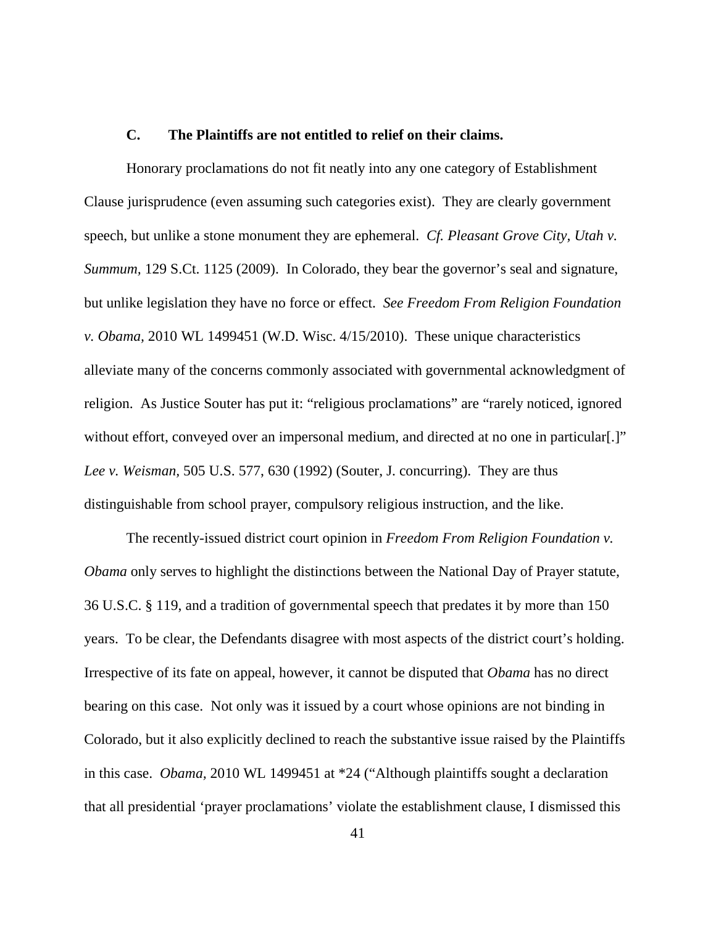## **C. The Plaintiffs are not entitled to relief on their claims.**

Honorary proclamations do not fit neatly into any one category of Establishment Clause jurisprudence (even assuming such categories exist). They are clearly government speech, but unlike a stone monument they are ephemeral. *Cf. Pleasant Grove City, Utah v. Summum,* 129 S.Ct. 1125 (2009). In Colorado, they bear the governor's seal and signature, but unlike legislation they have no force or effect. *See Freedom From Religion Foundation v. Obama,* 2010 WL 1499451 (W.D. Wisc. 4/15/2010). These unique characteristics alleviate many of the concerns commonly associated with governmental acknowledgment of religion. As Justice Souter has put it: "religious proclamations" are "rarely noticed, ignored without effort, conveyed over an impersonal medium, and directed at no one in particular[.]" *Lee v. Weisman,* 505 U.S. 577, 630 (1992) (Souter, J. concurring). They are thus distinguishable from school prayer, compulsory religious instruction, and the like.

The recently-issued district court opinion in *Freedom From Religion Foundation v. Obama* only serves to highlight the distinctions between the National Day of Prayer statute, 36 U.S.C. § 119, and a tradition of governmental speech that predates it by more than 150 years. To be clear, the Defendants disagree with most aspects of the district court's holding. Irrespective of its fate on appeal, however, it cannot be disputed that *Obama* has no direct bearing on this case. Not only was it issued by a court whose opinions are not binding in Colorado, but it also explicitly declined to reach the substantive issue raised by the Plaintiffs in this case. *Obama,* 2010 WL 1499451 at \*24 ("Although plaintiffs sought a declaration that all presidential 'prayer proclamations' violate the establishment clause, I dismissed this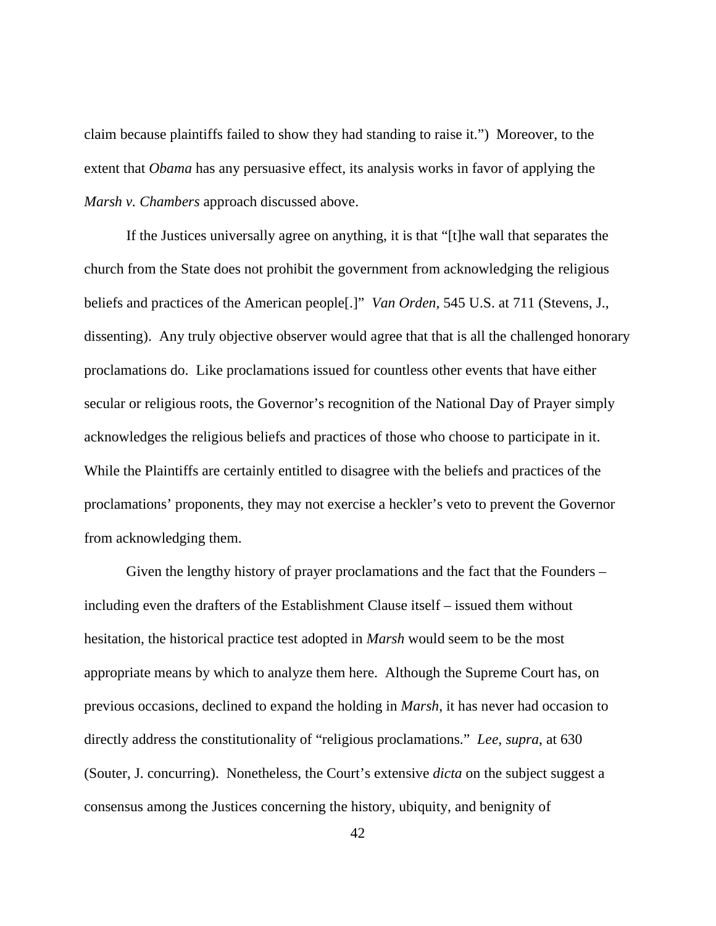claim because plaintiffs failed to show they had standing to raise it.") Moreover, to the extent that *Obama* has any persuasive effect, its analysis works in favor of applying the *Marsh v. Chambers* approach discussed above.

If the Justices universally agree on anything, it is that "[t]he wall that separates the church from the State does not prohibit the government from acknowledging the religious beliefs and practices of the American people[.]" *Van Orden,* 545 U.S. at 711 (Stevens, J., dissenting). Any truly objective observer would agree that that is all the challenged honorary proclamations do. Like proclamations issued for countless other events that have either secular or religious roots, the Governor's recognition of the National Day of Prayer simply acknowledges the religious beliefs and practices of those who choose to participate in it. While the Plaintiffs are certainly entitled to disagree with the beliefs and practices of the proclamations' proponents, they may not exercise a heckler's veto to prevent the Governor from acknowledging them.

Given the lengthy history of prayer proclamations and the fact that the Founders – including even the drafters of the Establishment Clause itself – issued them without hesitation, the historical practice test adopted in *Marsh* would seem to be the most appropriate means by which to analyze them here. Although the Supreme Court has, on previous occasions, declined to expand the holding in *Marsh*, it has never had occasion to directly address the constitutionality of "religious proclamations." *Lee, supra*, at 630 (Souter, J. concurring). Nonetheless, the Court's extensive *dicta* on the subject suggest a consensus among the Justices concerning the history, ubiquity, and benignity of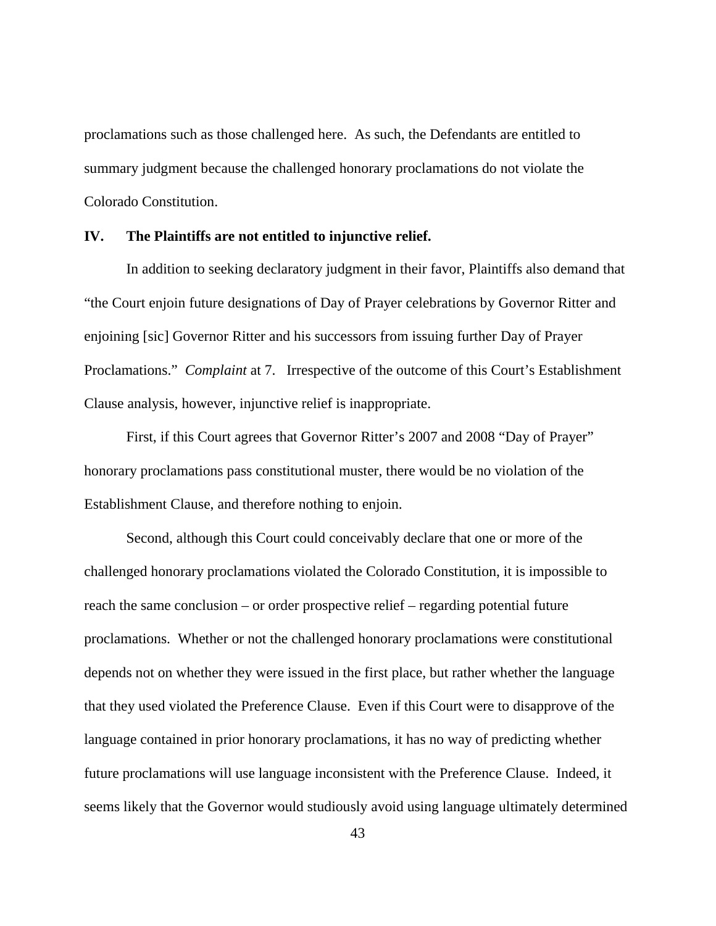proclamations such as those challenged here. As such, the Defendants are entitled to summary judgment because the challenged honorary proclamations do not violate the Colorado Constitution.

#### **IV. The Plaintiffs are not entitled to injunctive relief.**

In addition to seeking declaratory judgment in their favor, Plaintiffs also demand that "the Court enjoin future designations of Day of Prayer celebrations by Governor Ritter and enjoining [sic] Governor Ritter and his successors from issuing further Day of Prayer Proclamations." *Complaint* at 7. Irrespective of the outcome of this Court's Establishment Clause analysis, however, injunctive relief is inappropriate.

First, if this Court agrees that Governor Ritter's 2007 and 2008 "Day of Prayer" honorary proclamations pass constitutional muster, there would be no violation of the Establishment Clause, and therefore nothing to enjoin.

Second, although this Court could conceivably declare that one or more of the challenged honorary proclamations violated the Colorado Constitution, it is impossible to reach the same conclusion – or order prospective relief – regarding potential future proclamations. Whether or not the challenged honorary proclamations were constitutional depends not on whether they were issued in the first place, but rather whether the language that they used violated the Preference Clause. Even if this Court were to disapprove of the language contained in prior honorary proclamations, it has no way of predicting whether future proclamations will use language inconsistent with the Preference Clause. Indeed, it seems likely that the Governor would studiously avoid using language ultimately determined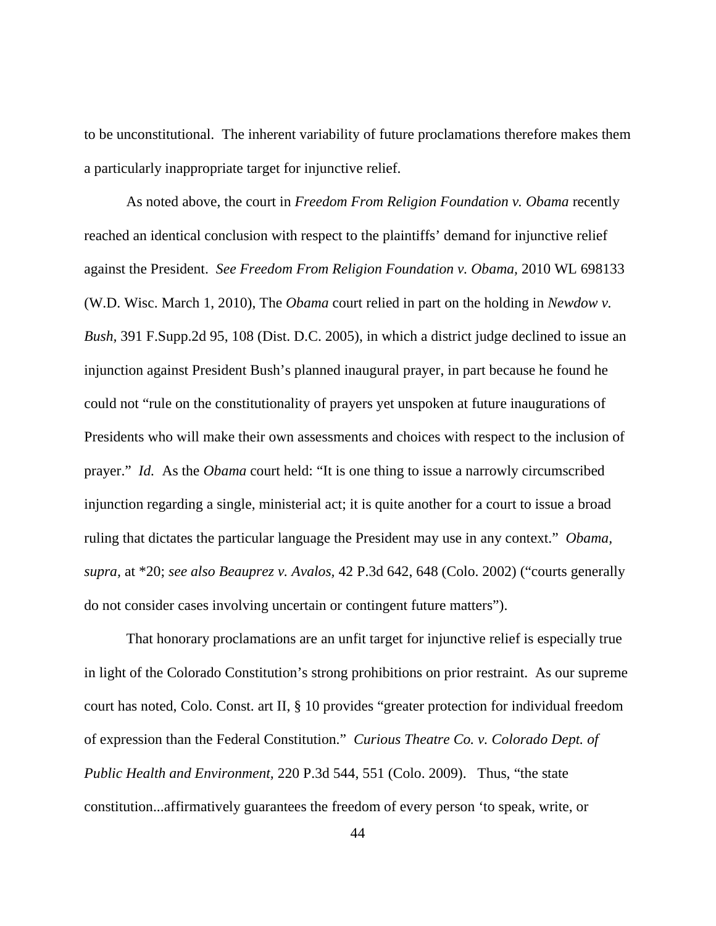to be unconstitutional. The inherent variability of future proclamations therefore makes them a particularly inappropriate target for injunctive relief.

As noted above, the court in *Freedom From Religion Foundation v. Obama* recently reached an identical conclusion with respect to the plaintiffs' demand for injunctive relief against the President. *See Freedom From Religion Foundation v. Obama,* 2010 WL 698133 (W.D. Wisc. March 1, 2010), The *Obama* court relied in part on the holding in *Newdow v. Bush,* 391 F.Supp.2d 95, 108 (Dist. D.C. 2005), in which a district judge declined to issue an injunction against President Bush's planned inaugural prayer, in part because he found he could not "rule on the constitutionality of prayers yet unspoken at future inaugurations of Presidents who will make their own assessments and choices with respect to the inclusion of prayer." *Id.* As the *Obama* court held: "It is one thing to issue a narrowly circumscribed injunction regarding a single, ministerial act; it is quite another for a court to issue a broad ruling that dictates the particular language the President may use in any context." *Obama, supra,* at \*20; *see also Beauprez v. Avalos,* 42 P.3d 642, 648 (Colo. 2002) ("courts generally do not consider cases involving uncertain or contingent future matters").

That honorary proclamations are an unfit target for injunctive relief is especially true in light of the Colorado Constitution's strong prohibitions on prior restraint. As our supreme court has noted, Colo. Const. art II, § 10 provides "greater protection for individual freedom of expression than the Federal Constitution." *Curious Theatre Co. v. Colorado Dept. of Public Health and Environment,* 220 P.3d 544, 551 (Colo. 2009). Thus, "the state constitution...affirmatively guarantees the freedom of every person 'to speak, write, or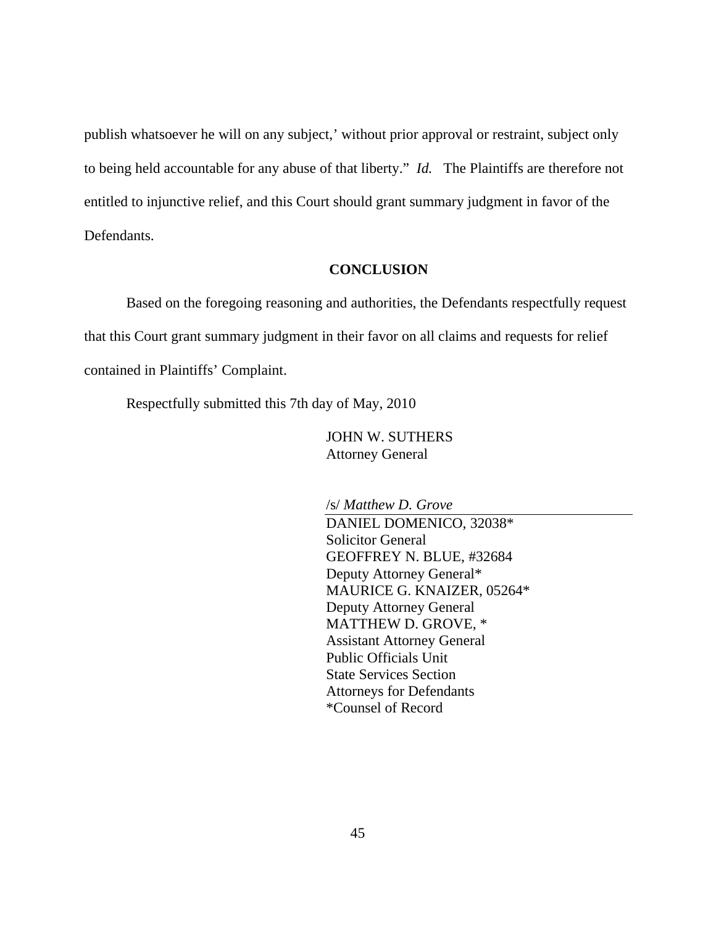publish whatsoever he will on any subject,' without prior approval or restraint, subject only to being held accountable for any abuse of that liberty." *Id.* The Plaintiffs are therefore not entitled to injunctive relief, and this Court should grant summary judgment in favor of the Defendants.

## **CONCLUSION**

Based on the foregoing reasoning and authorities, the Defendants respectfully request that this Court grant summary judgment in their favor on all claims and requests for relief contained in Plaintiffs' Complaint.

Respectfully submitted this 7th day of May, 2010

JOHN W. SUTHERS Attorney General

/s/ *Matthew D. Grove*

DANIEL DOMENICO, 32038\* Solicitor General GEOFFREY N. BLUE, #32684 Deputy Attorney General\* MAURICE G. KNAIZER, 05264\* Deputy Attorney General MATTHEW D. GROVE, \* Assistant Attorney General Public Officials Unit State Services Section Attorneys for Defendants \*Counsel of Record